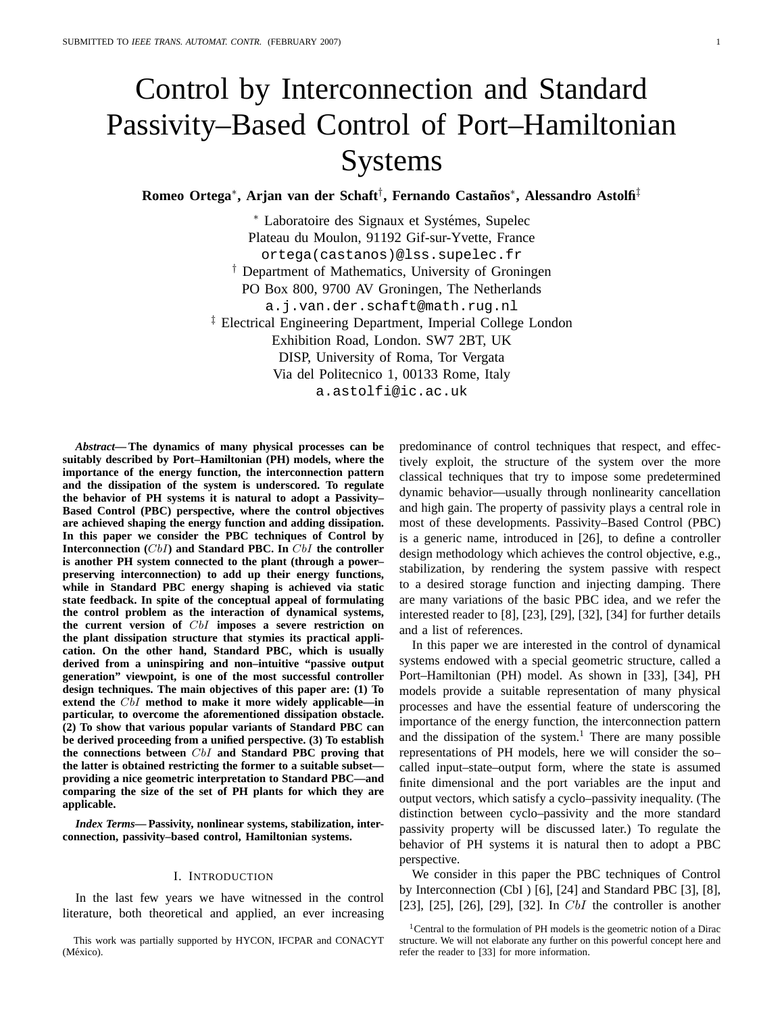# Control by Interconnection and Standard Passivity–Based Control of Port–Hamiltonian Systems

**Romeo Ortega\*, Arjan van der Schaft†, Fernando Castaños\*, Alessandro Astolfi‡** 

∗ Laboratoire des Signaux et Systemes, Supelec ´ Plateau du Moulon, 91192 Gif-sur-Yvette, France ortega(castanos)@lss.supelec.fr † Department of Mathematics, University of Groningen PO Box 800, 9700 AV Groningen, The Netherlands a.j.van.der.schaft@math.rug.nl ‡ Electrical Engineering Department, Imperial College London Exhibition Road, London. SW7 2BT, UK DISP, University of Roma, Tor Vergata Via del Politecnico 1, 00133 Rome, Italy a.astolfi@ic.ac.uk

*Abstract***— The dynamics of many physical processes can be suitably described by Port–Hamiltonian (PH) models, where the importance of the energy function, the interconnection pattern and the dissipation of the system is underscored. To regulate the behavior of PH systems it is natural to adopt a Passivity– Based Control (PBC) perspective, where the control objectives are achieved shaping the energy function and adding dissipation. In this paper we consider the PBC techniques of Control by Interconnection (**CbI**) and Standard PBC. In** CbI **the controller is another PH system connected to the plant (through a power– preserving interconnection) to add up their energy functions, while in Standard PBC energy shaping is achieved via static state feedback. In spite of the conceptual appeal of formulating the control problem as the interaction of dynamical systems, the current version of** CbI **imposes a severe restriction on the plant dissipation structure that stymies its practical application. On the other hand, Standard PBC, which is usually derived from a uninspiring and non–intuitive "passive output generation" viewpoint, is one of the most successful controller design techniques. The main objectives of this paper are: (1) To extend the** CbI **method to make it more widely applicable—in particular, to overcome the aforementioned dissipation obstacle. (2) To show that various popular variants of Standard PBC can be derived proceeding from a unified perspective. (3) To establish the connections between** CbI **and Standard PBC proving that the latter is obtained restricting the former to a suitable subset providing a nice geometric interpretation to Standard PBC—and comparing the size of the set of PH plants for which they are applicable.**

*Index Terms***— Passivity, nonlinear systems, stabilization, interconnection, passivity–based control, Hamiltonian systems.**

## I. INTRODUCTION

In the last few years we have witnessed in the control literature, both theoretical and applied, an ever increasing

This work was partially supported by HYCON, IFCPAR and CONACYT (México).

predominance of control techniques that respect, and effectively exploit, the structure of the system over the more classical techniques that try to impose some predetermined dynamic behavior—usually through nonlinearity cancellation and high gain. The property of passivity plays a central role in most of these developments. Passivity–Based Control (PBC) is a generic name, introduced in [26], to define a controller design methodology which achieves the control objective, e.g., stabilization, by rendering the system passive with respect to a desired storage function and injecting damping. There are many variations of the basic PBC idea, and we refer the interested reader to [8], [23], [29], [32], [34] for further details and a list of references.

In this paper we are interested in the control of dynamical systems endowed with a special geometric structure, called a Port–Hamiltonian (PH) model. As shown in [33], [34], PH models provide a suitable representation of many physical processes and have the essential feature of underscoring the importance of the energy function, the interconnection pattern and the dissipation of the system.<sup>1</sup> There are many possible representations of PH models, here we will consider the so– called input–state–output form, where the state is assumed finite dimensional and the port variables are the input and output vectors, which satisfy a cyclo–passivity inequality. (The distinction between cyclo–passivity and the more standard passivity property will be discussed later.) To regulate the behavior of PH systems it is natural then to adopt a PBC perspective.

We consider in this paper the PBC techniques of Control by Interconnection (CbI ) [6], [24] and Standard PBC [3], [8], [23], [25], [26], [29], [32]. In  $CbI$  the controller is another

<sup>&</sup>lt;sup>1</sup>Central to the formulation of PH models is the geometric notion of a Dirac structure. We will not elaborate any further on this powerful concept here and refer the reader to [33] for more information.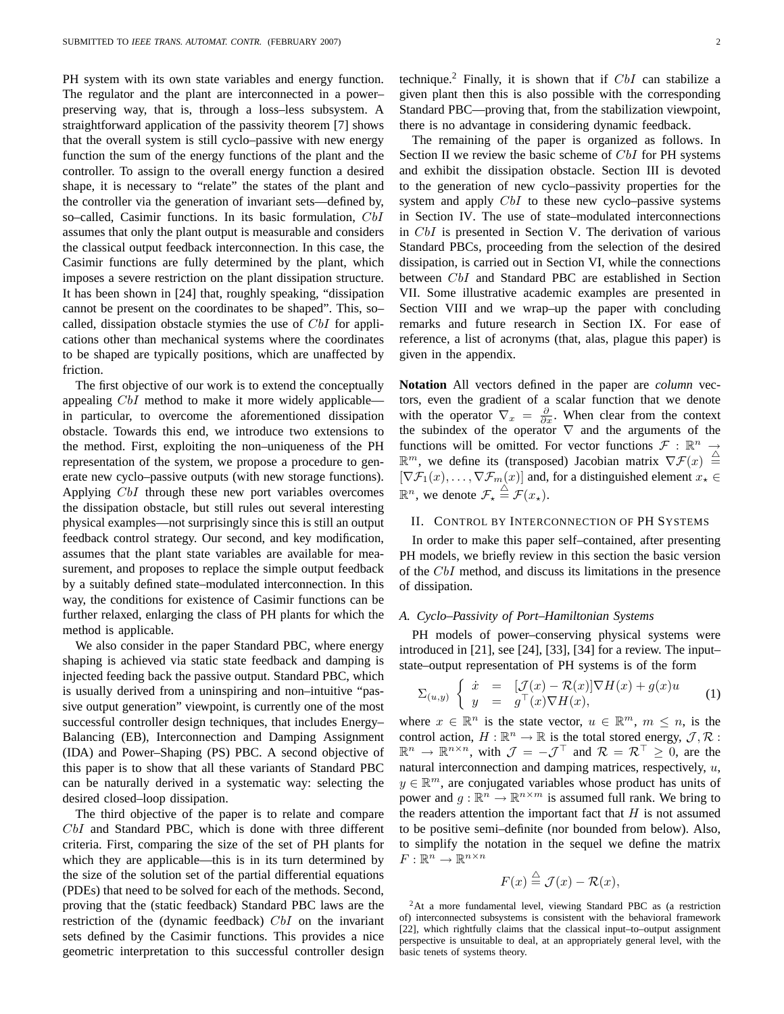PH system with its own state variables and energy function. The regulator and the plant are interconnected in a power– preserving way, that is, through a loss–less subsystem. A straightforward application of the passivity theorem [7] shows that the overall system is still cyclo–passive with new energy function the sum of the energy functions of the plant and the controller. To assign to the overall energy function a desired shape, it is necessary to "relate" the states of the plant and the controller via the generation of invariant sets—defined by, so–called, Casimir functions. In its basic formulation, CbI assumes that only the plant output is measurable and considers the classical output feedback interconnection. In this case, the Casimir functions are fully determined by the plant, which imposes a severe restriction on the plant dissipation structure. It has been shown in [24] that, roughly speaking, "dissipation cannot be present on the coordinates to be shaped". This, so– called, dissipation obstacle stymies the use of  $CbI$  for applications other than mechanical systems where the coordinates to be shaped are typically positions, which are unaffected by friction.

The first objective of our work is to extend the conceptually appealing CbI method to make it more widely applicable in particular, to overcome the aforementioned dissipation obstacle. Towards this end, we introduce two extensions to the method. First, exploiting the non–uniqueness of the PH representation of the system, we propose a procedure to generate new cyclo–passive outputs (with new storage functions). Applying CbI through these new port variables overcomes the dissipation obstacle, but still rules out several interesting physical examples—not surprisingly since this is still an output feedback control strategy. Our second, and key modification, assumes that the plant state variables are available for measurement, and proposes to replace the simple output feedback by a suitably defined state–modulated interconnection. In this way, the conditions for existence of Casimir functions can be further relaxed, enlarging the class of PH plants for which the method is applicable.

We also consider in the paper Standard PBC, where energy shaping is achieved via static state feedback and damping is injected feeding back the passive output. Standard PBC, which is usually derived from a uninspiring and non–intuitive "passive output generation" viewpoint, is currently one of the most successful controller design techniques, that includes Energy– Balancing (EB), Interconnection and Damping Assignment (IDA) and Power–Shaping (PS) PBC. A second objective of this paper is to show that all these variants of Standard PBC can be naturally derived in a systematic way: selecting the desired closed–loop dissipation.

The third objective of the paper is to relate and compare CbI and Standard PBC, which is done with three different criteria. First, comparing the size of the set of PH plants for which they are applicable—this is in its turn determined by the size of the solution set of the partial differential equations (PDEs) that need to be solved for each of the methods. Second, proving that the (static feedback) Standard PBC laws are the restriction of the (dynamic feedback)  $CbI$  on the invariant sets defined by the Casimir functions. This provides a nice geometric interpretation to this successful controller design

The remaining of the paper is organized as follows. In Section II we review the basic scheme of CbI for PH systems and exhibit the dissipation obstacle. Section III is devoted to the generation of new cyclo–passivity properties for the system and apply *CbI* to these new cyclo–passive systems in Section IV. The use of state–modulated interconnections in CbI is presented in Section V. The derivation of various Standard PBCs, proceeding from the selection of the desired dissipation, is carried out in Section VI, while the connections between CbI and Standard PBC are established in Section VII. Some illustrative academic examples are presented in Section VIII and we wrap–up the paper with concluding remarks and future research in Section IX. For ease of reference, a list of acronyms (that, alas, plague this paper) is given in the appendix.

**Notation** All vectors defined in the paper are *column* vectors, even the gradient of a scalar function that we denote with the operator  $\nabla_x = \frac{\partial}{\partial x}$ . When clear from the context the subindex of the operator  $\nabla$  and the arguments of the functions will be omitted. For vector functions  $\mathcal{F} : \mathbb{R}^n \to$  $\mathbb{R}^m$ , we define its (transposed) Jacobian matrix  $\nabla \mathcal{F}(x) \triangleq$  $[\nabla \mathcal{F}_1(x), \ldots, \nabla \mathcal{F}_m(x)]$  and, for a distinguished element  $x_\star \in$  $\mathbb{R}^n$ , we denote  $\mathcal{F}_\star \stackrel{\triangle}{=} \mathcal{F}(x_\star)$ .

#### II. CONTROL BY INTERCONNECTION OF PH SYSTEMS

In order to make this paper self–contained, after presenting PH models, we briefly review in this section the basic version of the CbI method, and discuss its limitations in the presence of dissipation.

#### *A. Cyclo–Passivity of Port–Hamiltonian Systems*

PH models of power–conserving physical systems were introduced in [21], see [24], [33], [34] for a review. The input– state–output representation of PH systems is of the form

$$
\Sigma_{(u,y)} \begin{cases} \dot{x} = \left[ \mathcal{J}(x) - \mathcal{R}(x) \right] \nabla H(x) + g(x)u \\ y = g^{\top}(x) \nabla H(x), \end{cases} (1)
$$

where  $x \in \mathbb{R}^n$  is the state vector,  $u \in \mathbb{R}^m$ ,  $m \leq n$ , is the control action,  $H : \mathbb{R}^n \to \mathbb{R}$  is the total stored energy,  $\mathcal{J}, \mathcal{R}$ :  $\mathbb{R}^n \to \mathbb{R}^{n \times n}$ , with  $\mathcal{J} = -\mathcal{J}^\top$  and  $\mathcal{R} = \mathcal{R}^\top \geq 0$ , are the natural interconnection and damping matrices, respectively, u,  $y \in \mathbb{R}^m$ , are conjugated variables whose product has units of power and  $g: \mathbb{R}^n \to \mathbb{R}^{n \times m}$  is assumed full rank. We bring to the readers attention the important fact that  $H$  is not assumed to be positive semi–definite (nor bounded from below). Also, to simplify the notation in the sequel we define the matrix  $F:\mathbb{R}^n\to\mathbb{R}^{n\times n}$ 

$$
F(x) \stackrel{\triangle}{=} \mathcal{J}(x) - \mathcal{R}(x),
$$

<sup>2</sup>At a more fundamental level, viewing Standard PBC as (a restriction of) interconnected subsystems is consistent with the behavioral framework [22], which rightfully claims that the classical input–to–output assignment perspective is unsuitable to deal, at an appropriately general level, with the basic tenets of systems theory.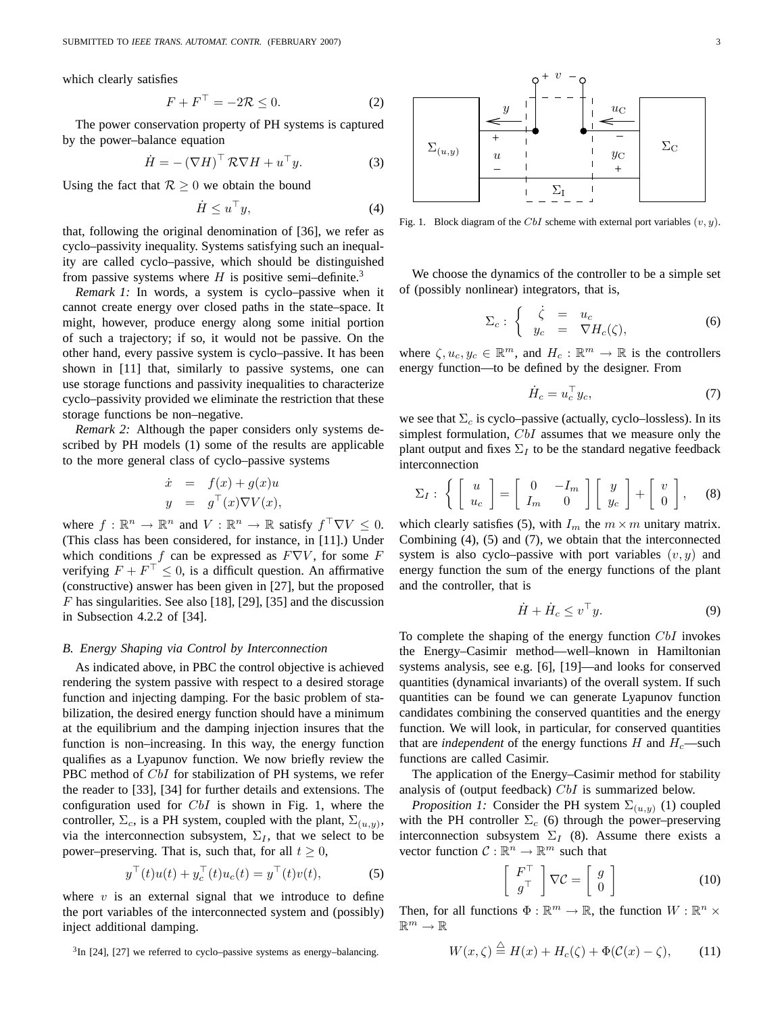which clearly satisfies

$$
F + F^{\perp} = -2\mathcal{R} \le 0. \tag{2}
$$

The power conservation property of PH systems is captured by the power–balance equation

$$
\dot{H} = -(\nabla H)^{\top} R \nabla H + u^{\top} y.
$$
 (3)

Using the fact that  $R \geq 0$  we obtain the bound

$$
\dot{H} \le u^\top y,\tag{4}
$$

that, following the original denomination of [36], we refer as cyclo–passivity inequality. Systems satisfying such an inequality are called cyclo–passive, which should be distinguished from passive systems where H is positive semi-definite.<sup>3</sup>

*Remark 1:* In words, a system is cyclo–passive when it cannot create energy over closed paths in the state–space. It might, however, produce energy along some initial portion of such a trajectory; if so, it would not be passive. On the other hand, every passive system is cyclo–passive. It has been shown in [11] that, similarly to passive systems, one can use storage functions and passivity inequalities to characterize cyclo–passivity provided we eliminate the restriction that these storage functions be non–negative.

*Remark 2:* Although the paper considers only systems described by PH models (1) some of the results are applicable to the more general class of cyclo–passive systems

$$
\dot{x} = f(x) + g(x)u
$$
  

$$
y = g^{\top}(x)\nabla V(x),
$$

where  $f : \mathbb{R}^n \to \mathbb{R}^n$  and  $V : \mathbb{R}^n \to \mathbb{R}$  satisfy  $f^{\top} \nabla V \leq 0$ . (This class has been considered, for instance, in [11].) Under which conditions f can be expressed as  $F\nabla V$ , for some F verifying  $F + F^{\perp} \leq 0$ , is a difficult question. An affirmative (constructive) answer has been given in [27], but the proposed F has singularities. See also [18], [29], [35] and the discussion in Subsection 4.2.2 of [34].

#### *B. Energy Shaping via Control by Interconnection*

As indicated above, in PBC the control objective is achieved rendering the system passive with respect to a desired storage function and injecting damping. For the basic problem of stabilization, the desired energy function should have a minimum at the equilibrium and the damping injection insures that the function is non–increasing. In this way, the energy function qualifies as a Lyapunov function. We now briefly review the PBC method of CbI for stabilization of PH systems, we refer the reader to [33], [34] for further details and extensions. The configuration used for CbI is shown in Fig. 1, where the controller,  $\Sigma_c$ , is a PH system, coupled with the plant,  $\Sigma_{(u,y)}$ , via the interconnection subsystem,  $\Sigma_I$ , that we select to be power–preserving. That is, such that, for all  $t \geq 0$ ,

$$
y^{\top}(t)u(t) + y_c^{\top}(t)u_c(t) = y^{\top}(t)v(t),
$$
 (5)

where  $v$  is an external signal that we introduce to define the port variables of the interconnected system and (possibly) inject additional damping.

 $3$ In [24], [27] we referred to cyclo–passive systems as energy–balancing.



Fig. 1. Block diagram of the CbI scheme with external port variables  $(v, y)$ .

We choose the dynamics of the controller to be a simple set of (possibly nonlinear) integrators, that is,

$$
\Sigma_c: \begin{cases} \dot{\zeta} = u_c \\ y_c = \nabla H_c(\zeta), \end{cases}
$$
 (6)

where  $\zeta, u_c, y_c \in \mathbb{R}^m$ , and  $H_c : \mathbb{R}^m \to \mathbb{R}$  is the controllers energy function—to be defined by the designer. From

$$
\dot{H}_c = u_c^\top y_c,\tag{7}
$$

we see that  $\Sigma_c$  is cyclo–passive (actually, cyclo–lossless). In its simplest formulation, CbI assumes that we measure only the plant output and fixes  $\Sigma_I$  to be the standard negative feedback interconnection

$$
\Sigma_I: \left\{ \begin{bmatrix} u \\ u_c \end{bmatrix} = \begin{bmatrix} 0 & -I_m \\ I_m & 0 \end{bmatrix} \begin{bmatrix} y \\ y_c \end{bmatrix} + \begin{bmatrix} v \\ 0 \end{bmatrix}, \quad (8)
$$

which clearly satisfies (5), with  $I_m$  the  $m \times m$  unitary matrix. Combining (4), (5) and (7), we obtain that the interconnected system is also cyclo–passive with port variables  $(v, y)$  and energy function the sum of the energy functions of the plant and the controller, that is

$$
\dot{H} + \dot{H}_c \le v^\top y. \tag{9}
$$

To complete the shaping of the energy function CbI invokes the Energy–Casimir method—well–known in Hamiltonian systems analysis, see e.g. [6], [19]—and looks for conserved quantities (dynamical invariants) of the overall system. If such quantities can be found we can generate Lyapunov function candidates combining the conserved quantities and the energy function. We will look, in particular, for conserved quantities that are *independent* of the energy functions  $H$  and  $H_c$ —such functions are called Casimir.

The application of the Energy–Casimir method for stability analysis of (output feedback) CbI is summarized below.

*Proposition 1:* Consider the PH system  $\Sigma_{(u,y)}$  (1) coupled with the PH controller  $\Sigma_c$  (6) through the power–preserving interconnection subsystem  $\Sigma_I$  (8). Assume there exists a vector function  $C : \mathbb{R}^n \to \mathbb{R}^m$  such that

$$
\left[\begin{array}{c} F^{\top} \\ g^{\top} \end{array}\right] \nabla \mathcal{C} = \left[\begin{array}{c} g \\ 0 \end{array}\right] \tag{10}
$$

Then, for all functions  $\Phi : \mathbb{R}^m \to \mathbb{R}$ , the function  $W : \mathbb{R}^n \times$  $\mathbb{R}^m \to \mathbb{R}$ 

$$
W(x,\zeta) \stackrel{\triangle}{=} H(x) + H_c(\zeta) + \Phi(\mathcal{C}(x) - \zeta), \qquad (11)
$$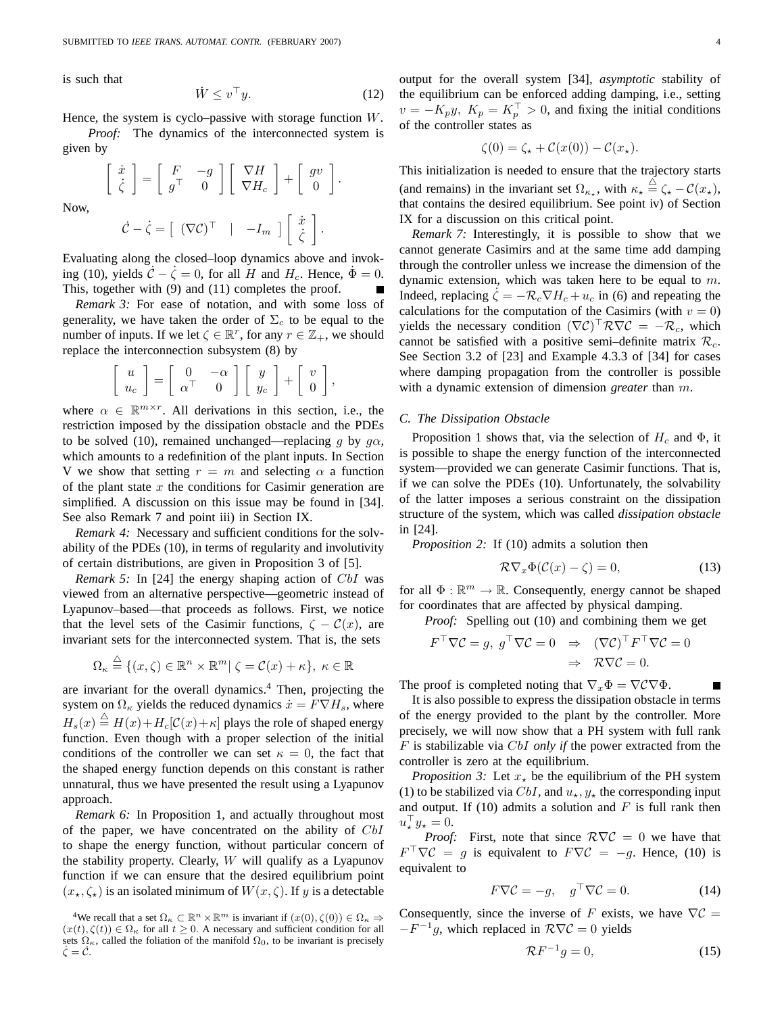is such that

$$
\dot{W} \le v^\top y. \tag{12}
$$

¸ .

Hence, the system is cyclo–passive with storage function  $W$ .

*Proof:* The dynamics of the interconnected system is given by

$$
\begin{bmatrix} \dot{x} \\ \dot{\zeta} \end{bmatrix} = \begin{bmatrix} F & -g \\ g^\top & 0 \end{bmatrix} \begin{bmatrix} \nabla H \\ \nabla H_c \end{bmatrix} + \begin{bmatrix} gv \\ 0 \end{bmatrix}
$$

$$
\dot{C} = \dot{\zeta} = \begin{bmatrix} (\nabla C)^\top & | & -I \end{bmatrix} \begin{bmatrix} \dot{x} \\ \dot{x} \end{bmatrix}
$$

Now,

$$
\dot{\mathcal{C}} - \dot{\zeta} = \left[ \begin{array}{cc} (\nabla \mathcal{C})^{\top} & | & -I_m \end{array} \right] \left[ \begin{array}{c} x \\ \dot{\zeta} \end{array} \right].
$$
  
time along the closed-loop dynamics above, or

Evaluating along the closed–loop dynamics above and invoking (10), yields  $\dot{\mathcal{C}} - \dot{\zeta} = 0$ , for all H and  $H_c$ . Hence,  $\dot{\Phi} = 0$ . This, together with (9) and (11) completes the proof.

*Remark 3:* For ease of notation, and with some loss of generality, we have taken the order of  $\Sigma_c$  to be equal to the number of inputs. If we let  $\zeta \in \mathbb{R}^r$ , for any  $r \in \mathbb{Z}_+$ , we should replace the interconnection subsystem (8) by

$$
\left[\begin{array}{c}u\\u_c\end{array}\right]=\left[\begin{array}{cc}0&-\alpha\\ \alpha^\top&0\end{array}\right]\left[\begin{array}{c}y\\y_c\end{array}\right]+\left[\begin{array}{c}v\\0\end{array}\right],
$$

where  $\alpha \in \mathbb{R}^{m \times r}$ . All derivations in this section, i.e., the restriction imposed by the dissipation obstacle and the PDEs to be solved (10), remained unchanged—replacing g by  $q\alpha$ , which amounts to a redefinition of the plant inputs. In Section V we show that setting  $r = m$  and selecting  $\alpha$  a function of the plant state  $x$  the conditions for Casimir generation are simplified. A discussion on this issue may be found in [34]. See also Remark 7 and point iii) in Section IX.

*Remark 4:* Necessary and sufficient conditions for the solvability of the PDEs (10), in terms of regularity and involutivity of certain distributions, are given in Proposition 3 of [5].

*Remark 5:* In [24] the energy shaping action of *CbI* was viewed from an alternative perspective—geometric instead of Lyapunov–based—that proceeds as follows. First, we notice that the level sets of the Casimir functions,  $\zeta - \mathcal{C}(x)$ , are invariant sets for the interconnected system. That is, the sets

$$
\Omega_{\kappa} \stackrel{\triangle}{=} \{(x,\zeta) \in \mathbb{R}^n \times \mathbb{R}^m | \zeta = \mathcal{C}(x) + \kappa\}, \ \kappa \in \mathbb{R}
$$

are invariant for the overall dynamics.<sup>4</sup> Then, projecting the system on  $\Omega_{\kappa}$  yields the reduced dynamics  $\dot{x} = F \nabla H_s$ , where  $H_s(x) \stackrel{\triangle}{=} H(x) + H_c[\mathcal{C}(x) + \kappa]$  plays the role of shaped energy function. Even though with a proper selection of the initial conditions of the controller we can set  $\kappa = 0$ , the fact that the shaped energy function depends on this constant is rather unnatural, thus we have presented the result using a Lyapunov approach.

*Remark 6:* In Proposition 1, and actually throughout most of the paper, we have concentrated on the ability of CbI to shape the energy function, without particular concern of the stability property. Clearly,  $W$  will qualify as a Lyapunov function if we can ensure that the desired equilibrium point  $(x_\star,\zeta_\star)$  is an isolated minimum of  $W(x,\zeta)$ . If y is a detectable output for the overall system [34], *asymptotic* stability of the equilibrium can be enforced adding damping, i.e., setting  $v = -K_p y$ ,  $K_p = K_p^+ > 0$ , and fixing the initial conditions of the controller states as

$$
\zeta(0) = \zeta_\star + \mathcal{C}(x(0)) - \mathcal{C}(x_\star).
$$

This initialization is needed to ensure that the trajectory starts (and remains) in the invariant set  $\Omega_{\kappa_{\star}}$ , with  $\kappa_{\star} \stackrel{\triangle}{=} \zeta_{\star} - C(x_{\star}),$ that contains the desired equilibrium. See point iv) of Section IX for a discussion on this critical point.

*Remark 7:* Interestingly, it is possible to show that we cannot generate Casimirs and at the same time add damping through the controller unless we increase the dimension of the dynamic extension, which was taken here to be equal to  $m$ . Indeed, replacing  $\zeta = -\mathcal{R}_c \nabla H_c + u_c$  in (6) and repeating the calculations for the computation of the Casimirs (with  $v = 0$ ) yields the necessary condition  $(\nabla \mathcal{C})^{\dagger} \mathcal{R} \nabla \mathcal{C} = -\mathcal{R}_c$ , which cannot be satisfied with a positive semi-definite matrix  $\mathcal{R}_c$ . See Section 3.2 of [23] and Example 4.3.3 of [34] for cases where damping propagation from the controller is possible with a dynamic extension of dimension *greater* than m.

#### *C. The Dissipation Obstacle*

Proposition 1 shows that, via the selection of  $H_c$  and  $\Phi$ , it is possible to shape the energy function of the interconnected system—provided we can generate Casimir functions. That is, if we can solve the PDEs (10). Unfortunately, the solvability of the latter imposes a serious constraint on the dissipation structure of the system, which was called *dissipation obstacle* in [24].

*Proposition 2:* If (10) admits a solution then

$$
\mathcal{R}\nabla_x\Phi(\mathcal{C}(x)-\zeta)=0,\t(13)
$$

for all  $\Phi : \mathbb{R}^m \to \mathbb{R}$ . Consequently, energy cannot be shaped for coordinates that are affected by physical damping.

*Proof:* Spelling out (10) and combining them we get

$$
F^{\top} \nabla \mathcal{C} = g, \ g^{\top} \nabla \mathcal{C} = 0 \Rightarrow (\nabla \mathcal{C})^{\top} F^{\top} \nabla \mathcal{C} = 0
$$

$$
\Rightarrow \mathcal{R} \nabla \mathcal{C} = 0.
$$

The proof is completed noting that  $\nabla_x \Phi = \nabla \mathcal{C} \nabla \Phi$ .

It is also possible to express the dissipation obstacle in terms of the energy provided to the plant by the controller. More precisely, we will now show that a PH system with full rank F is stabilizable via CbI *only if* the power extracted from the controller is zero at the equilibrium.

*Proposition 3:* Let  $x_{\star}$  be the equilibrium of the PH system (1) to be stabilized via CbI, and  $u_{\star}$ ,  $y_{\star}$  the corresponding input and output. If (10) admits a solution and  $F$  is full rank then  $u_\star^{\perp} y_\star = 0.$ 

*Proof:* First, note that since  $R\nabla\mathcal{C} = 0$  we have that  $F^{\dagger}\nabla \mathcal{C} = g$  is equivalent to  $F\nabla \mathcal{C} = -g$ . Hence, (10) is equivalent to

$$
F\nabla \mathcal{C} = -g, \quad g^{\top} \nabla \mathcal{C} = 0. \tag{14}
$$

Consequently, since the inverse of F exists, we have  $\nabla \mathcal{C} =$  $-F^{-1}g$ , which replaced in  $\mathcal{R}\nabla\mathcal{C}=0$  yields

$$
\mathcal{R}F^{-1}g = 0,\t\t(15)
$$

<sup>&</sup>lt;sup>4</sup>We recall that a set  $\Omega_{\kappa} \subset \mathbb{R}^n \times \mathbb{R}^m$  is invariant if  $(x(0), \zeta(0)) \in \Omega_{\kappa} \Rightarrow$  $(x(t), \zeta(t)) \in \Omega_{\kappa}$  for all  $t \geq 0$ . A necessary and sufficient condition for all sets  $\Omega_{\kappa}$ , called the foliation of the manifold  $\Omega_0$ , to be invariant is precisely  $\dot{\zeta} = \dot{\mathcal{C}}.$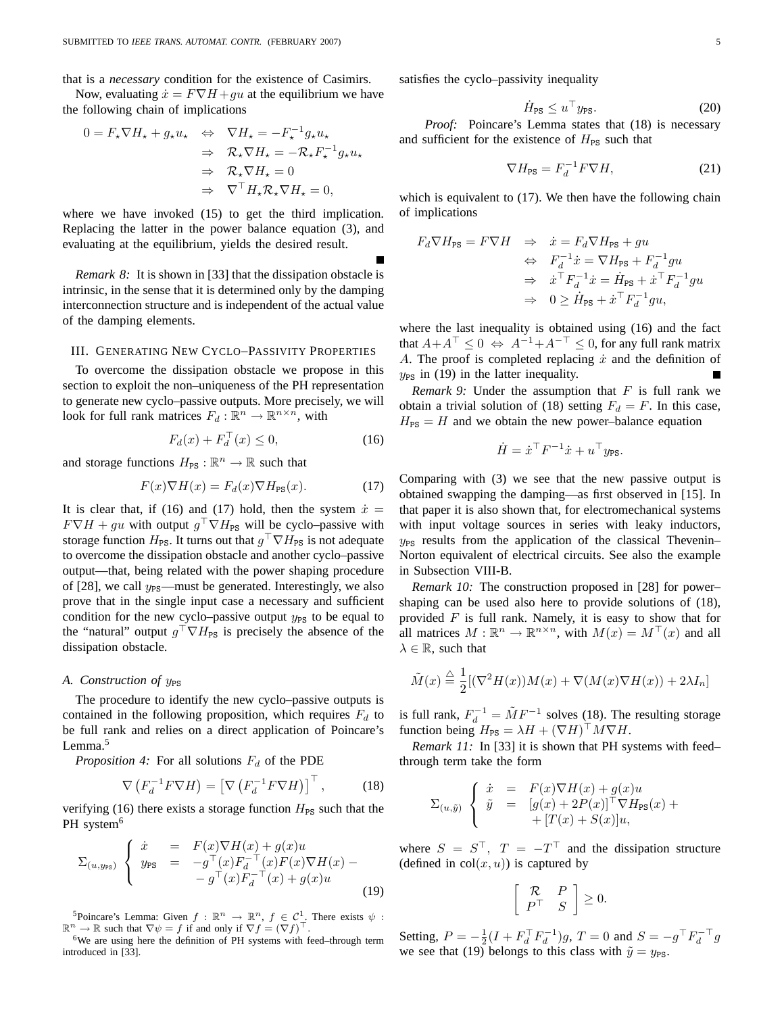that is a *necessary* condition for the existence of Casimirs.

Now, evaluating  $\dot{x} = F \nabla H + gu$  at the equilibrium we have the following chain of implications

$$
0 = F_{\star} \nabla H_{\star} + g_{\star} u_{\star} \quad \Leftrightarrow \quad \nabla H_{\star} = -F_{\star}^{-1} g_{\star} u_{\star}
$$

$$
\Rightarrow \quad \mathcal{R}_{\star} \nabla H_{\star} = -\mathcal{R}_{\star} F_{\star}^{-1} g_{\star} u_{\star}
$$

$$
\Rightarrow \quad \mathcal{R}_{\star} \nabla H_{\star} = 0
$$

$$
\Rightarrow \quad \nabla^{\top} H_{\star} \mathcal{R}_{\star} \nabla H_{\star} = 0,
$$

where we have invoked  $(15)$  to get the third implication. Replacing the latter in the power balance equation (3), and evaluating at the equilibrium, yields the desired result.

*Remark 8:* It is shown in [33] that the dissipation obstacle is intrinsic, in the sense that it is determined only by the damping interconnection structure and is independent of the actual value of the damping elements.

## III. GENERATING NEW CYCLO–PASSIVITY PROPERTIES

To overcome the dissipation obstacle we propose in this section to exploit the non–uniqueness of the PH representation to generate new cyclo–passive outputs. More precisely, we will look for full rank matrices  $F_d : \mathbb{R}^n \to \mathbb{R}^{n \times n}$ , with

$$
F_d(x) + F_d^+(x) \le 0,
$$
\n(16)

and storage functions  $H_{PS} : \mathbb{R}^n \to \mathbb{R}$  such that

$$
F(x)\nabla H(x) = F_d(x)\nabla H_{\text{PS}}(x). \tag{17}
$$

It is clear that, if (16) and (17) hold, then the system  $\dot{x} =$  $F \nabla H + gu$  with output  $g \nvert \nabla H_{\text{PS}}$  will be cyclo–passive with storage function  $H_{PS}$ . It turns out that  $g^\top \nabla H_{PS}$  is not adequate to overcome the dissipation obstacle and another cyclo–passive output—that, being related with the power shaping procedure of [28], we call  $y_{PS}$ —must be generated. Interestingly, we also prove that in the single input case a necessary and sufficient condition for the new cyclo–passive output  $y_{PS}$  to be equal to the "natural" output  $g' \nabla H_{PS}$  is precisely the absence of the dissipation obstacle.

#### *A.* Construction of  $y_{PS}$

The procedure to identify the new cyclo–passive outputs is contained in the following proposition, which requires  $F_d$  to be full rank and relies on a direct application of Poincare's Lemma.<sup>5</sup>

*Proposition 4:* For all solutions  $F_d$  of the PDE

$$
\nabla \left( F_d^{-1} F \nabla H \right) = \left[ \nabla \left( F_d^{-1} F \nabla H \right) \right]^{\top}, \tag{18}
$$

verifying (16) there exists a storage function  $H_{PS}$  such that the PH system<sup>6</sup>

$$
\Sigma_{(u,y_{\text{PS}})} \begin{cases} \dot{x} = F(x)\nabla H(x) + g(x)u \\ y_{\text{PS}} = -g^{\top}(x)F_d^{-\top}(x)F(x)\nabla H(x) - \\ -g^{\top}(x)F_d^{-\top}(x) + g(x)u \end{cases}
$$
\n(19)

<sup>5</sup>Poincare's Lemma: Given  $f : \mathbb{R}^n \to \mathbb{R}^n$ ,  $f \in C^1$ . There exists  $\psi$ :  $\mathbb{R}^n \to \mathbb{R}$  such that  $\nabla \psi = f$  if and only if  $\nabla f = (\nabla f)^{\top}$ .

 $6$ We are using here the definition of PH systems with feed–through term introduced in [33].

satisfies the cyclo–passivity inequality

$$
\dot{H}_{\rm PS} \le u^\top y_{\rm PS}. \tag{20}
$$

*Proof:* Poincare's Lemma states that (18) is necessary and sufficient for the existence of  $H_{PS}$  such that

$$
\nabla H_{\rm PS} = F_d^{-1} F \nabla H,\tag{21}
$$

which is equivalent to (17). We then have the following chain of implications

$$
\begin{array}{rcl} F_d \nabla H_{\rm PS} = F \nabla H & \Rightarrow & \dot{x} = F_d \nabla H_{\rm PS} + gu \\ & \Leftrightarrow & F_d^{-1} \dot{x} = \nabla H_{\rm PS} + F_d^{-1} gu \\ & \Rightarrow & \dot{x}^\top F_d^{-1} \dot{x} = \dot{H}_{\rm PS} + \dot{x}^\top F_d^{-1} gu \\ & \Rightarrow & 0 \geq \dot{H}_{\rm PS} + \dot{x}^\top F_d^{-1} gu, \end{array}
$$

where the last inequality is obtained using (16) and the fact that  $A + A^{\top} \leq 0 \Leftrightarrow A^{-1} + A^{-\top} \leq 0$ , for any full rank matrix A. The proof is completed replacing  $\dot{x}$  and the definition of  $y_{PS}$  in (19) in the latter inequality.

*Remark 9:* Under the assumption that  $F$  is full rank we obtain a trivial solution of (18) setting  $F_d = F$ . In this case,  $H_{PS} = H$  and we obtain the new power–balance equation

$$
\dot{H} = \dot{x}^\top F^{-1} \dot{x} + u^\top y_{\text{PS}}.
$$

Comparing with (3) we see that the new passive output is obtained swapping the damping—as first observed in [15]. In that paper it is also shown that, for electromechanical systems with input voltage sources in series with leaky inductors,  $y_{PS}$  results from the application of the classical Thevenin– Norton equivalent of electrical circuits. See also the example in Subsection VIII-B.

*Remark 10:* The construction proposed in [28] for power– shaping can be used also here to provide solutions of (18), provided  $F$  is full rank. Namely, it is easy to show that for all matrices  $M : \mathbb{R}^n \to \mathbb{R}^{n \times n}$ , with  $M(x) = M^{\top}(x)$  and all  $\lambda \in \mathbb{R}$ , such that

$$
\tilde{M}(x) \stackrel{\triangle}{=} \frac{1}{2} [(\nabla^2 H(x))M(x) + \nabla (M(x)\nabla H(x)) + 2\lambda I_n]
$$

is full rank,  $F_d^{-1} = \tilde{M}F^{-1}$  solves (18). The resulting storage function being  $H_{PS} = \lambda H + (\nabla H)^{\dagger} M \nabla H$ .

*Remark 11:* In [33] it is shown that PH systems with feed– through term take the form

$$
\Sigma_{(u,\tilde{y})}\n\begin{cases}\n\dot{x} = F(x)\nabla H(x) + g(x)u \\
\tilde{y} = [g(x) + 2P(x)]^{\top}\nabla H_{\text{PS}}(x) + \\
+ [T(x) + S(x)]u,\n\end{cases}
$$

where  $S = S^{\perp}$ ,  $T = -T^{\perp}$  and the dissipation structure (defined in  $col(x, u)$ ) is captured by

$$
\left[\begin{array}{cc} \mathcal{R} & P \\ P^{\top} & S \end{array}\right] \geq 0.
$$

Setting,  $P = -\frac{1}{2}(I + F_d^\top F_d^{-1})g$ ,  $T = 0$  and  $S = -g^\top F_d^{-\top} g$ we see that (19) belongs to this class with  $\tilde{y} = y_{PS}$ .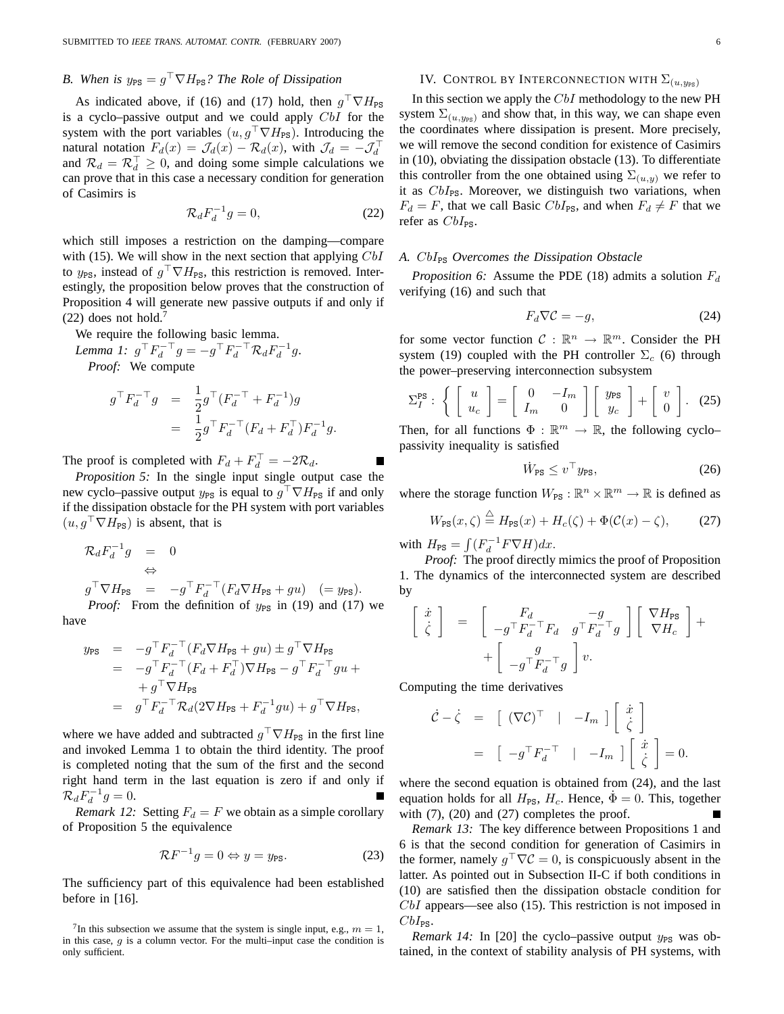# *B.* When is  $y_{PS} = g^\top \nabla H_{PS}$ ? The Role of Dissipation

As indicated above, if (16) and (17) hold, then  $g^{\dagger} \nabla H_{PS}$ is a cyclo–passive output and we could apply CbI for the system with the port variables  $(u, g^{\top} \nabla H_{\text{PS}})$ . Introducing the natural notation  $F_d(x) = \mathcal{J}_d(x) - \mathcal{R}_d(x)$ , with  $\mathcal{J}_d = -\mathcal{J}_d^{\perp}$ and  $\mathcal{R}_d = \mathcal{R}_d^{\perp} \geq 0$ , and doing some simple calculations we can prove that in this case a necessary condition for generation of Casimirs is

$$
\mathcal{R}_d F_d^{-1} g = 0,\t\t(22)
$$

which still imposes a restriction on the damping—compare with (15). We will show in the next section that applying  $CbI$ to  $y_{PS}$ , instead of  $g' \nabla H_{PS}$ , this restriction is removed. Interestingly, the proposition below proves that the construction of Proposition 4 will generate new passive outputs if and only if  $(22)$  does not hold.<sup>7</sup>

We require the following basic lemma.

Lemma 1: 
$$
g^{\top} F_d^{-\top} g = -g^{\top} F_d^{-\top} \mathcal{R}_d F_d^{-1} g
$$
.  
Proof: We compute

$$
g^{\top} F_d^{\top} g = \frac{1}{2} g^{\top} (F_d^{\top} + F_d^{\top}) g
$$
  
= 
$$
\frac{1}{2} g^{\top} F_d^{\top} (F_d + F_d^{\top}) F_d^{\top} g.
$$

The proof is completed with  $F_d + F_d^{\perp} = -2\mathcal{R}_d$ .

*Proposition 5:* In the single input single output case the new cyclo–passive output  $y_{PS}$  is equal to  $g' \nabla H_{PS}$  if and only if the dissipation obstacle for the PH system with port variables  $(u, g\mathbin{\perp}\nabla H_{\text{PS}})$  is absent, that is

$$
\begin{array}{rcl}\n\mathcal{R}_d F_d^{-1}g & = & 0 \\
\Leftrightarrow & \\
g^\top \nabla H_{\rm PS} & = & -g^\top F_d^{-\top} (F_d \nabla H_{\rm PS} + gu) \quad (=y_{\rm PS}).\n\end{array}
$$

*Proof:* From the definition of  $y_{PS}$  in (19) and (17) we have

$$
\begin{array}{rcl} y_{\rm PS} & = & -g^\top F_d^{-\top} (F_d \nabla H_{\rm PS} + gu) \pm g^\top \nabla H_{\rm PS} \\ & = & -g^\top F_d^{-\top} (F_d + F_d^\top) \nabla H_{\rm PS} - g^\top F_d^{-\top} gu \ + \\ & & + g^\top \nabla H_{\rm PS} \\ & = & g^\top F_d^{-\top} \mathcal{R}_d (2 \nabla H_{\rm PS} + F_d^{-1} gu) + g^\top \nabla H_{\rm PS}, \end{array}
$$

where we have added and subtracted  $g \nvert \nabla H_{PS}$  in the first line and invoked Lemma 1 to obtain the third identity. The proof is completed noting that the sum of the first and the second right hand term in the last equation is zero if and only if  $\mathcal{R}_d F_d^{-1} g = 0.$ Е

*Remark 12:* Setting  $F_d = F$  we obtain as a simple corollary of Proposition 5 the equivalence

$$
\mathcal{R}F^{-1}g = 0 \Leftrightarrow y = y_{\text{PS}}.\tag{23}
$$

The sufficiency part of this equivalence had been established before in [16].

## IV. CONTROL BY INTERCONNECTION WITH  $\Sigma_{(u,y_{\text{PS}})}$

In this section we apply the CbI methodology to the new PH system  $\Sigma_{(u,y_{\text{PS}})}$  and show that, in this way, we can shape even the coordinates where dissipation is present. More precisely, we will remove the second condition for existence of Casimirs in (10), obviating the dissipation obstacle (13). To differentiate this controller from the one obtained using  $\Sigma_{(u,y)}$  we refer to it as  $CbI_{PS}$ . Moreover, we distinguish two variations, when  $F_d = F$ , that we call Basic  $CbI_{PS}$ , and when  $F_d \neq F$  that we refer as  $CbI_{PS}$ .

## A. CbI<sub>PS</sub> Overcomes the Dissipation Obstacle

*Proposition 6:* Assume the PDE (18) admits a solution  $F_d$ verifying (16) and such that

$$
F_d \nabla \mathcal{C} = -g,\tag{24}
$$

for some vector function  $C : \mathbb{R}^n \to \mathbb{R}^m$ . Consider the PH system (19) coupled with the PH controller  $\Sigma_c$  (6) through the power–preserving interconnection subsystem

$$
\Sigma_I^{\text{PS}}: \left\{ \left[ \begin{array}{c} u \\ u_c \end{array} \right] = \left[ \begin{array}{cc} 0 & -I_m \\ I_m & 0 \end{array} \right] \left[ \begin{array}{c} y_{\text{PS}} \\ y_c \end{array} \right] + \left[ \begin{array}{c} v \\ 0 \end{array} \right]. \tag{25}
$$

Then, for all functions  $\Phi : \mathbb{R}^m \to \mathbb{R}$ , the following cyclopassivity inequality is satisfied

$$
\dot{W}_{\rm PS} \le v^\top y_{\rm PS},\tag{26}
$$

where the storage function  $W_{PS} : \mathbb{R}^n \times \mathbb{R}^m \to \mathbb{R}$  is defined as

$$
W_{\rm PS}(x,\zeta) \stackrel{\triangle}{=} H_{\rm PS}(x) + H_c(\zeta) + \Phi(\mathcal{C}(x) - \zeta), \tag{27}
$$

with  $H_{PS} = \int (F_d^{-1} F \nabla H) dx$ .

*Proof:* The proof directly mimics the proof of Proposition 1. The dynamics of the interconnected system are described by

$$
\begin{bmatrix}\n\dot{x} \\
\dot{\zeta}\n\end{bmatrix} = \begin{bmatrix}\nF_d & -g \\
-g^\top F_d^{-\top} F_d & g^\top F_d^{-\top} g\n\end{bmatrix} \begin{bmatrix}\n\nabla H_{\rm PS} \\
\nabla H_c\n\end{bmatrix} + \begin{bmatrix}\ng \\
-g^\top F_d^{-\top} g\n\end{bmatrix} v.
$$

Computing the time derivatives

$$
\dot{\mathcal{C}} - \dot{\zeta} = \begin{bmatrix} (\nabla \mathcal{C})^{\top} & | & -I_m \end{bmatrix} \begin{bmatrix} \dot{x} \\ \dot{\zeta} \end{bmatrix}
$$

$$
= \begin{bmatrix} -g^{\top} F_d^{-\top} & | & -I_m \end{bmatrix} \begin{bmatrix} \dot{x} \\ \dot{\zeta} \end{bmatrix} = 0.
$$

where the second equation is obtained from (24), and the last equation holds for all  $H_{PS}$ ,  $H_c$ . Hence,  $\dot{\Phi} = 0$ . This, together with  $(7)$ ,  $(20)$  and  $(27)$  completes the proof.

*Remark 13:* The key difference between Propositions 1 and 6 is that the second condition for generation of Casimirs in the former, namely  $g^\top \nabla \mathcal{C} = 0$ , is conspicuously absent in the latter. As pointed out in Subsection II-C if both conditions in (10) are satisfied then the dissipation obstacle condition for  $CbI$  appears—see also (15). This restriction is not imposed in  $CbI_{PS}.$ 

*Remark 14:* In [20] the cyclo–passive output  $y_{PS}$  was obtained, in the context of stability analysis of PH systems, with

<sup>&</sup>lt;sup>7</sup>In this subsection we assume that the system is single input, e.g.,  $m = 1$ , in this case,  $q$  is a column vector. For the multi–input case the condition is only sufficient.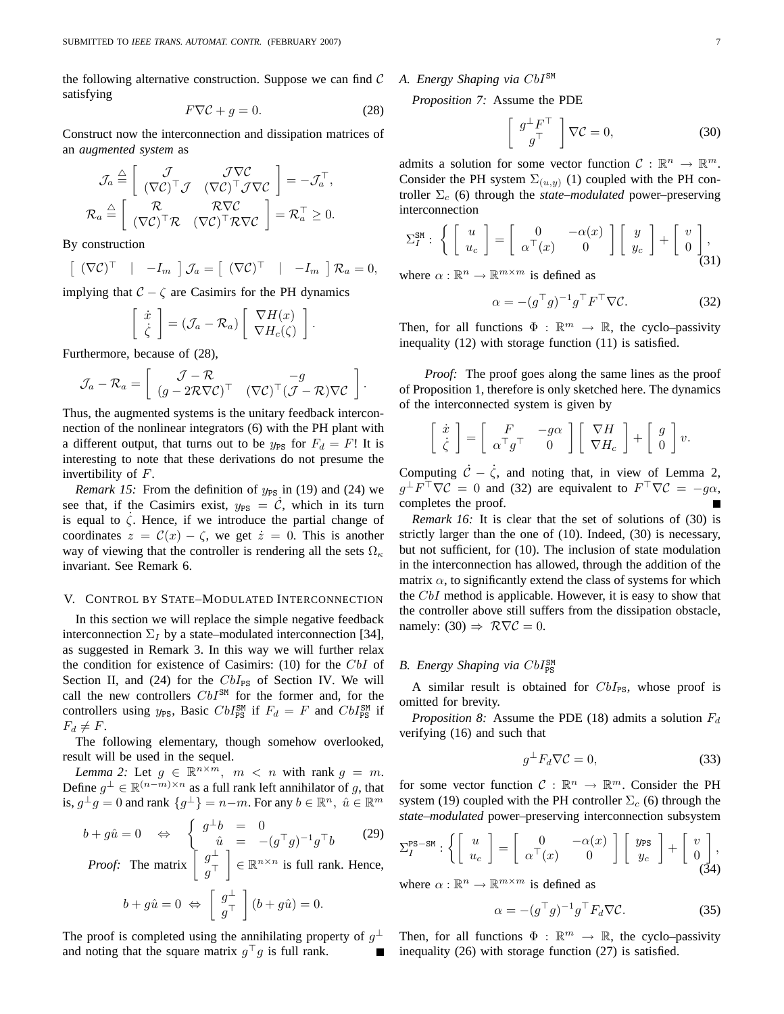the following alternative construction. Suppose we can find  $\mathcal C$ satisfying

$$
F\nabla \mathcal{C} + g = 0. \tag{28}
$$

Construct now the interconnection and dissipation matrices of an *augmented system* as

$$
\mathcal{J}_a \stackrel{\triangle}{=} \begin{bmatrix} \mathcal{J} & \mathcal{J}\nabla\mathcal{C} \\ (\nabla\mathcal{C})^\top \mathcal{J} & (\nabla\mathcal{C})^\top \mathcal{J}\nabla\mathcal{C} \end{bmatrix} = -\mathcal{J}_a^\top,
$$
  

$$
\mathcal{R}_a \stackrel{\triangle}{=} \begin{bmatrix} \mathcal{R} & \mathcal{R}\nabla\mathcal{C} \\ (\nabla\mathcal{C})^\top \mathcal{R} & (\nabla\mathcal{C})^\top \mathcal{R}\nabla\mathcal{C} \end{bmatrix} = \mathcal{R}_a^\top \ge 0.
$$

By construction

$$
\left[ \begin{array}{cc} (\nabla \mathcal{C})^{\top} & | & -I_m \end{array} \right] \mathcal{J}_a = \left[ \begin{array}{cc} (\nabla \mathcal{C})^{\top} & | & -I_m \end{array} \right] \mathcal{R}_a = 0,
$$

implying that  $C - \zeta$  are Casimirs for the PH dynamics

$$
\left[\begin{array}{c} \dot{x} \\ \dot{\zeta} \end{array}\right] = \left(\mathcal{J}_a - \mathcal{R}_a\right) \left[\begin{array}{c} \nabla H(x) \\ \nabla H_c(\zeta) \end{array}\right].
$$

Furthermore, because of (28),

$$
\mathcal{J}_a - \mathcal{R}_a = \left[ \begin{array}{cc} \mathcal{J} - \mathcal{R} & -g \\ (g - 2\mathcal{R}\nabla\mathcal{C})^{\top} & (\nabla\mathcal{C})^{\top}(\mathcal{J} - \mathcal{R})\nabla\mathcal{C} \end{array} \right].
$$

Thus, the augmented systems is the unitary feedback interconnection of the nonlinear integrators (6) with the PH plant with a different output, that turns out to be  $y_{PS}$  for  $F_d = F!$ ! It is interesting to note that these derivations do not presume the invertibility of F.

*Remark 15:* From the definition of  $y_{PS}$  in (19) and (24) we see that, if the Casimirs exist,  $y_{PS} = \dot{C}$ , which in its turn is equal to  $\zeta$ . Hence, if we introduce the partial change of coordinates  $z = \mathcal{C}(x) - \zeta$ , we get  $\dot{z} = 0$ . This is another way of viewing that the controller is rendering all the sets  $\Omega_{\kappa}$ invariant. See Remark 6.

#### V. CONTROL BY STATE–MODULATED INTERCONNECTION

In this section we will replace the simple negative feedback interconnection  $\Sigma_I$  by a state–modulated interconnection [34], as suggested in Remark 3. In this way we will further relax the condition for existence of Casimirs: (10) for the CbI of Section II, and (24) for the  $CbI_{PS}$  of Section IV. We will call the new controllers  $CbI^{SM}$  for the former and, for the controllers using  $y_{PS}$ , Basic  $CbI_{PS}^{SM}$  if  $F_d = F$  and  $CbI_{PS}^{SM}$  if  $F_d \neq F$ .

The following elementary, though somehow overlooked, result will be used in the sequel.

*Lemma 2:* Let  $g \in \mathbb{R}^{n \times m}$ ,  $m < n$  with rank  $g = m$ . Define  $g^{\perp} \in \mathbb{R}^{(n-m)\times n}$  as a full rank left annihilator of g, that is,  $g^{\perp}g = 0$  and rank  $\{g^{\perp}\}=n-m$ . For any  $b \in \mathbb{R}^n$ ,  $\hat{u} \in \mathbb{R}^m$ 

$$
b + g\hat{u} = 0 \quad \Leftrightarrow \quad \begin{cases} g^{\perp}b = 0\\ \hat{u} = -(g^{\top}g)^{-1}g^{\top}b \end{cases} \tag{29}
$$

*Proof:* The matrix  $\begin{bmatrix} g^{\perp} \\ \mathbb{I} \end{bmatrix}$  $g^+$  $\Big] \in \mathbb{R}^{n \times n}$  is full rank. Hence,  $b + g\hat{u} = 0 \Leftrightarrow \begin{bmatrix} g^{\perp} \\ g^{\top} \end{bmatrix}$  $g^+$  $|(b+g\hat{u})=0.$ 

The proof is completed using the annihilating property of  $g^{\perp}$ and noting that the square matrix  $g<sup>T</sup>g$  is full rank.

## *A. Energy Shaping via* CbISM

*Proposition 7:* Assume the PDE

·

$$
\frac{g^{\perp}F^{\top}}{g^{\top}} \bigg] \nabla \mathcal{C} = 0, \tag{30}
$$

admits a solution for some vector function  $C : \mathbb{R}^n \to \mathbb{R}^m$ . Consider the PH system  $\Sigma_{(u,y)}$  (1) coupled with the PH controller  $\Sigma_c$  (6) through the *state–modulated* power–preserving interconnection

$$
\Sigma_I^{\text{SM}} : \left\{ \begin{bmatrix} u \\ u_c \end{bmatrix} = \begin{bmatrix} 0 & -\alpha(x) \\ \alpha^\top(x) & 0 \end{bmatrix} \begin{bmatrix} y \\ y_c \end{bmatrix} + \begin{bmatrix} v \\ 0 \end{bmatrix}, \begin{bmatrix} 0 \\ 0 \end{bmatrix}
$$

where  $\alpha : \mathbb{R}^n \to \mathbb{R}^{m \times m}$  is defined as

$$
\alpha = -(g^{\top}g)^{-1}g^{\top}F^{\top}\nabla \mathcal{C}.
$$
 (32)

Then, for all functions  $\Phi : \mathbb{R}^m \to \mathbb{R}$ , the cyclo–passivity inequality (12) with storage function (11) is satisfied.

*Proof:* The proof goes along the same lines as the proof of Proposition 1, therefore is only sketched here. The dynamics of the interconnected system is given by

$$
\left[\begin{array}{c} \dot{x} \\ \dot{\zeta} \end{array}\right] = \left[\begin{array}{cc} F & -g\alpha \\ \alpha^{\top}g^{\top} & 0 \end{array}\right] \left[\begin{array}{c} \nabla H \\ \nabla H_c \end{array}\right] + \left[\begin{array}{c} g \\ 0 \end{array}\right] v.
$$

Computing  $\dot{\mathcal{C}} - \dot{\zeta}$ , and noting that, in view of Lemma 2,  $g^{\perp}F^{\perp}\nabla\mathcal{C} = 0$  and (32) are equivalent to  $F^{\perp}\nabla\mathcal{C} = -g\alpha$ , completes the proof.

*Remark 16:* It is clear that the set of solutions of (30) is strictly larger than the one of (10). Indeed, (30) is necessary, but not sufficient, for (10). The inclusion of state modulation in the interconnection has allowed, through the addition of the matrix  $\alpha$ , to significantly extend the class of systems for which the  $CbI$  method is applicable. However, it is easy to show that the controller above still suffers from the dissipation obstacle, namely: (30)  $\Rightarrow$   $\mathcal{R}\nabla\mathcal{C}=0$ .

## **B.** Energy Shaping via  $CbI_{\text{PS}}^{\text{SM}}$

A similar result is obtained for  $CbI_{PS}$ , whose proof is omitted for brevity.

*Proposition 8:* Assume the PDE (18) admits a solution  $F_d$ verifying (16) and such that

$$
g^{\perp}F_d\nabla \mathcal{C}=0,\t\t(33)
$$

for some vector function  $C : \mathbb{R}^n \to \mathbb{R}^m$ . Consider the PH system (19) coupled with the PH controller  $\Sigma_c$  (6) through the *state–modulated* power–preserving interconnection subsystem

$$
\Sigma_I^{\text{PS-SM}} : \left\{ \left[ \begin{array}{c} u \\ u_c \end{array} \right] = \left[ \begin{array}{cc} 0 & -\alpha(x) \\ \alpha^\top(x) & 0 \end{array} \right] \left[ \begin{array}{c} y_{\text{PS}} \\ y_c \end{array} \right] + \left[ \begin{array}{c} v \\ 0 \\ (34) \end{array} \right]
$$

where  $\alpha : \mathbb{R}^n \to \mathbb{R}^{m \times m}$  is defined as

$$
\alpha = -(g^{\top}g)^{-1}g^{\top}F_d\nabla \mathcal{C}.
$$
 (35)

Then, for all functions  $\Phi : \mathbb{R}^m \to \mathbb{R}$ , the cyclo-passivity inequality (26) with storage function (27) is satisfied.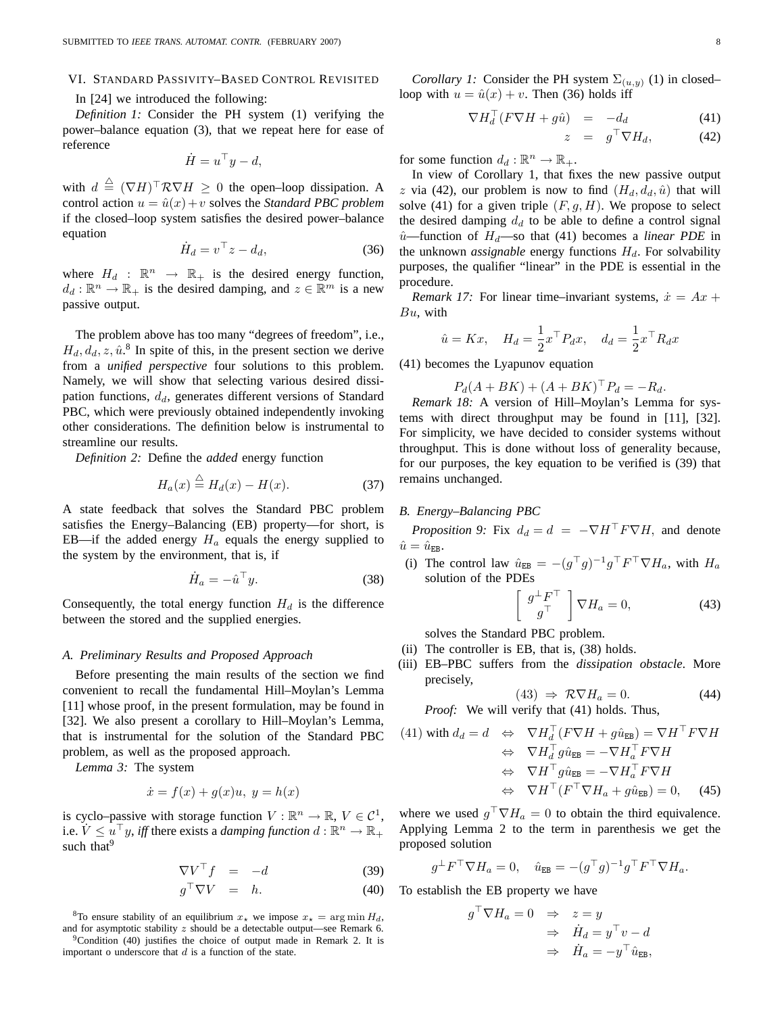#### VI. STANDARD PASSIVITY–BASED CONTROL REVISITED

## In [24] we introduced the following:

*Definition 1:* Consider the PH system (1) verifying the power–balance equation (3), that we repeat here for ease of reference

$$
\dot{H} = u^{\top}y - d,
$$

with  $d \triangleq (\nabla H)^{\top} \mathcal{R} \nabla H \geq 0$  the open–loop dissipation. A control action  $u = \hat{u}(x) + v$  solves the *Standard PBC problem* if the closed–loop system satisfies the desired power–balance equation

$$
\dot{H}_d = v^\top z - d_d,\tag{36}
$$

where  $H_d$  :  $\mathbb{R}^n \to \mathbb{R}_+$  is the desired energy function,  $d_d : \mathbb{R}^n \to \mathbb{R}_+$  is the desired damping, and  $z \in \mathbb{R}^m$  is a new passive output.

The problem above has too many "degrees of freedom", i.e.,  $H_d, d_d, z, \hat{u}$ .<sup>8</sup> In spite of this, in the present section we derive from a *unified perspective* four solutions to this problem. Namely, we will show that selecting various desired dissipation functions,  $d_d$ , generates different versions of Standard PBC, which were previously obtained independently invoking other considerations. The definition below is instrumental to streamline our results.

*Definition 2:* Define the *added* energy function

$$
H_a(x) \stackrel{\triangle}{=} H_d(x) - H(x). \tag{37}
$$

A state feedback that solves the Standard PBC problem satisfies the Energy–Balancing (EB) property—for short, is EB—if the added energy  $H_a$  equals the energy supplied to the system by the environment, that is, if

$$
\dot{H}_a = -\hat{u}^\top y. \tag{38}
$$

Consequently, the total energy function  $H_d$  is the difference between the stored and the supplied energies.

## *A. Preliminary Results and Proposed Approach*

Before presenting the main results of the section we find convenient to recall the fundamental Hill–Moylan's Lemma [11] whose proof, in the present formulation, may be found in [32]. We also present a corollary to Hill–Moylan's Lemma, that is instrumental for the solution of the Standard PBC problem, as well as the proposed approach.

*Lemma 3:* The system

$$
\dot{x} = f(x) + g(x)u, \ y = h(x)
$$

is cyclo–passive with storage function  $V : \mathbb{R}^n \to \mathbb{R}, V \in \mathcal{C}^1$ , i.e.  $V \leq u^{\top}y$ , *iff* there exists a *damping function*  $d : \mathbb{R}^n \to \mathbb{R}_+$ such that<sup>9</sup>

$$
\nabla V^{\top} f = -d \tag{39}
$$

$$
g^{\top} \nabla V = h. \tag{40}
$$

<sup>8</sup>To ensure stability of an equilibrium  $x_{\star}$  we impose  $x_{\star} = \arg \min H_d$ , and for asymptotic stability  $z$  should be a detectable output—see Remark 6.

 $9^9$ Condition (40) justifies the choice of output made in Remark 2. It is important o underscore that  $d$  is a function of the state.

*Corollary 1:* Consider the PH system  $\Sigma_{(u,y)}$  (1) in closed– loop with  $u = \hat{u}(x) + v$ . Then (36) holds iff

$$
\nabla H_d^{\perp} (F \nabla H + g \hat{u}) = -d_d \tag{41}
$$

$$
z = g^{\top} \nabla H_d, \qquad (42)
$$

for some function  $d_d : \mathbb{R}^n \to \mathbb{R}_+$ .

In view of Corollary 1, that fixes the new passive output z via (42), our problem is now to find  $(H_d, d_d, \hat{u})$  that will solve (41) for a given triple  $(F, g, H)$ . We propose to select the desired damping  $d_d$  to be able to define a control signal  $\hat{u}$ —function of  $H_d$ —so that (41) becomes a *linear PDE* in the unknown *assignable* energy functions  $H_d$ . For solvability purposes, the qualifier "linear" in the PDE is essential in the procedure.

*Remark 17:* For linear time–invariant systems,  $\dot{x} = Ax +$  $Bu$ , with

$$
\hat{u} = Kx
$$
,  $H_d = \frac{1}{2}x^\top P_d x$ ,  $d_d = \frac{1}{2}x^\top R_d x$ 

(41) becomes the Lyapunov equation

 $P_d(A + BK) + (A + BK)^{\dagger} P_d = -R_d.$ 

*Remark 18:* A version of Hill–Moylan's Lemma for systems with direct throughput may be found in [11], [32]. For simplicity, we have decided to consider systems without throughput. This is done without loss of generality because, for our purposes, the key equation to be verified is (39) that remains unchanged.

## *B. Energy–Balancing PBC*

*Proposition 9:* Fix  $d_d = d = -\nabla H^\top F \nabla H$ , and denote  $\hat{u} = \hat{u}_{EB}.$ 

(i) The control law  $\hat{u}_{EB} = -(g^{\top}g)^{-1}g^{\top}F^{\top}\nabla H_a$ , with  $H_a$ solution of the PDEs

$$
\left[\begin{array}{c}g^{\perp}F^{\top}\\g^{\top}\end{array}\right]\nabla H_a=0,\tag{43}
$$

solves the Standard PBC problem.

- (ii) The controller is EB, that is, (38) holds.
- (iii) EB–PBC suffers from the *dissipation obstacle*. More precisely,

$$
(43) \Rightarrow \mathcal{R}\nabla H_a = 0. \tag{44}
$$

*Proof:* We will verify that (41) holds. Thus,

(41) with 
$$
d_d = d \Leftrightarrow \nabla H_d^\top (F \nabla H + g \hat{u}_{EB}) = \nabla H^\top F \nabla H
$$
  
\n $\Leftrightarrow \nabla H_d^\top g \hat{u}_{EB} = -\nabla H_a^\top F \nabla H$   
\n $\Leftrightarrow \nabla H^\top g \hat{u}_{EB} = -\nabla H_a^\top F \nabla H$   
\n $\Leftrightarrow \nabla H^\top (F^\top \nabla H_a + g \hat{u}_{EB}) = 0,$  (45)

where we used  $g \nvert \nabla H_a = 0$  to obtain the third equivalence. Applying Lemma 2 to the term in parenthesis we get the proposed solution

$$
g^{\perp}F^{\top}\nabla H_a = 0, \quad \hat{u}_{\text{EB}} = -(g^{\top}g)^{-1}g^{\top}F^{\top}\nabla H_a.
$$

To establish the EB property we have

 $g^\top$ 

$$
\nabla H_a = 0 \Rightarrow z = y
$$
  
\n
$$
\Rightarrow \dot{H}_d = y^\top v - d
$$
  
\n
$$
\Rightarrow \dot{H}_a = -y^\top \hat{u}_{\text{EB}},
$$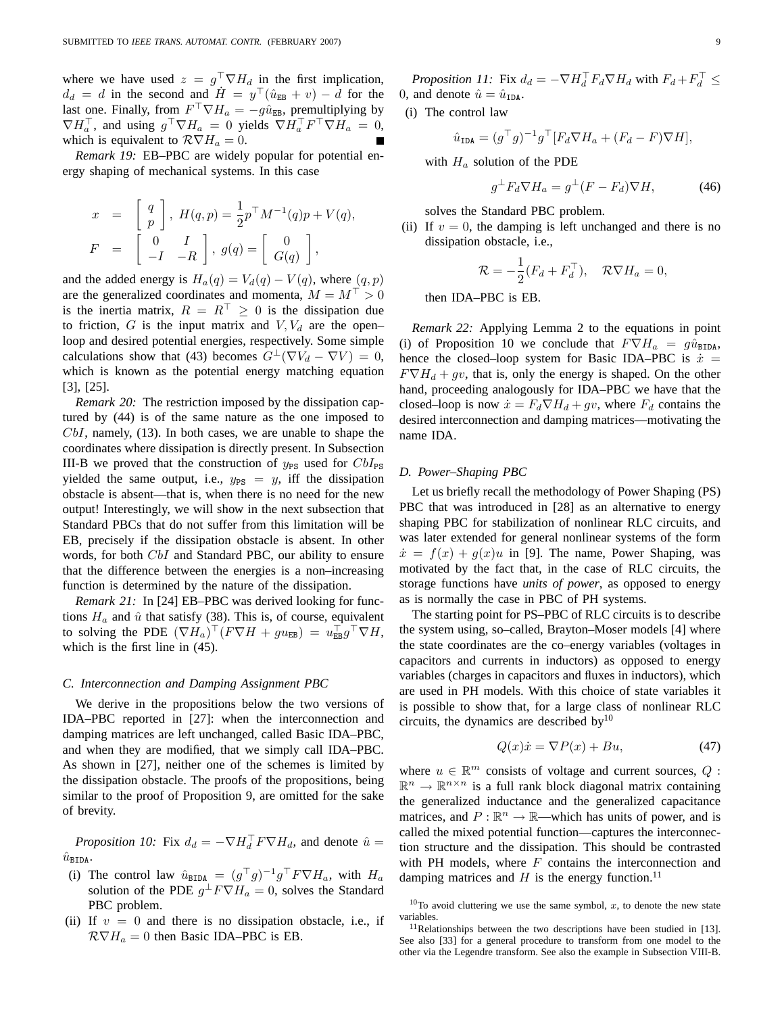where we have used  $z = g^{\perp} \nabla H_d$  in the first implication,  $d_d = d$  in the second and  $H = y^{\top}(\hat{u}_{EB} + v) - d$  for the last one. Finally, from  $F^{\dagger} \nabla H_a = -g\hat{u}_{EB}$ , premultiplying by  $\nabla H_a^{\dagger}$ , and using  $g^{\dagger} \nabla H_a = 0$  yields  $\nabla H_a^{\dagger} F^{\dagger} \nabla H_a = 0$ , which is equivalent to  $\mathcal{R} \nabla H_a = 0$ .

*Remark 19:* EB–PBC are widely popular for potential energy shaping of mechanical systems. In this case

$$
x = \begin{bmatrix} q \\ p \end{bmatrix}, H(q, p) = \frac{1}{2} p^{\top} M^{-1}(q) p + V(q),
$$
  

$$
F = \begin{bmatrix} 0 & I \\ -I & -R \end{bmatrix}, g(q) = \begin{bmatrix} 0 \\ G(q) \end{bmatrix},
$$

and the added energy is  $H_a(q) = V_d(q) - V(q)$ , where  $(q, p)$ are the generalized coordinates and momenta,  $M = M^{\top} > 0$ is the inertia matrix,  $R = R^{\top} \ge 0$  is the dissipation due to friction, G is the input matrix and  $V, V_d$  are the open– loop and desired potential energies, respectively. Some simple calculations show that (43) becomes  $G^{\perp}(\nabla V_d - \nabla V) = 0$ , which is known as the potential energy matching equation [3], [25].

*Remark 20:* The restriction imposed by the dissipation captured by (44) is of the same nature as the one imposed to  $CbI$ , namely, (13). In both cases, we are unable to shape the coordinates where dissipation is directly present. In Subsection III-B we proved that the construction of  $y_{PS}$  used for  $CbI_{PS}$ yielded the same output, i.e.,  $y_{PS} = y$ , iff the dissipation obstacle is absent—that is, when there is no need for the new output! Interestingly, we will show in the next subsection that Standard PBCs that do not suffer from this limitation will be EB, precisely if the dissipation obstacle is absent. In other words, for both CbI and Standard PBC, our ability to ensure that the difference between the energies is a non–increasing function is determined by the nature of the dissipation.

*Remark 21:* In [24] EB–PBC was derived looking for functions  $H_a$  and  $\hat{u}$  that satisfy (38). This is, of course, equivalent to solving the PDE  $(\nabla H_a)^\top (F \nabla H + gu_{EB}) = u_{EB}^\top g^\top \nabla H$ , which is the first line in (45).

#### *C. Interconnection and Damping Assignment PBC*

We derive in the propositions below the two versions of IDA–PBC reported in [27]: when the interconnection and damping matrices are left unchanged, called Basic IDA–PBC, and when they are modified, that we simply call IDA–PBC. As shown in [27], neither one of the schemes is limited by the dissipation obstacle. The proofs of the propositions, being similar to the proof of Proposition 9, are omitted for the sake of brevity.

*Proposition 10:* Fix  $d_d = -\nabla H_d^{\perp} F \nabla H_d$ , and denote  $\hat{u} =$  $\hat{u}_{\texttt{BIDA}}$ .

- (i) The control law  $\hat{u}_{\text{BIDA}} = (g^{\top}g)^{-1}g^{\top}F\nabla H_a$ , with  $H_a$ solution of the PDE  $g^{\perp} F \nabla H_a = 0$ , solves the Standard PBC problem.
- (ii) If  $v = 0$  and there is no dissipation obstacle, i.e., if  $\mathcal{R}\nabla H_a = 0$  then Basic IDA–PBC is EB.

*Proposition 11:* Fix  $d_d = -\nabla H_d^{\perp} F_d \nabla H_d$  with  $F_d + F_d^{\perp} \leq$ 0, and denote  $\hat{u} = \hat{u}_{\text{IDA}}$ .

(i) The control law

$$
\hat{u}_{\text{IDA}} = (g^{\top}g)^{-1}g^{\top}[F_d \nabla H_a + (F_d - F)\nabla H],
$$

with  $H_a$  solution of the PDE

$$
g^{\perp}F_d \nabla H_a = g^{\perp}(F - F_d) \nabla H, \tag{46}
$$

solves the Standard PBC problem.

(ii) If  $v = 0$ , the damping is left unchanged and there is no dissipation obstacle, i.e.,

$$
\mathcal{R} = -\frac{1}{2}(F_d + F_d^{\top}), \quad \mathcal{R}\nabla H_a = 0,
$$

then IDA–PBC is EB.

*Remark 22:* Applying Lemma 2 to the equations in point (i) of Proposition 10 we conclude that  $F \nabla H_a = g \hat{u}_{\text{BIDA}}$ , hence the closed–loop system for Basic IDA–PBC is  $\dot{x} =$  $F \nabla H_d + gv$ , that is, only the energy is shaped. On the other hand, proceeding analogously for IDA–PBC we have that the closed–loop is now  $\dot{x} = F_d \nabla H_d + gv$ , where  $F_d$  contains the desired interconnection and damping matrices—motivating the name IDA.

#### *D. Power–Shaping PBC*

Let us briefly recall the methodology of Power Shaping (PS) PBC that was introduced in [28] as an alternative to energy shaping PBC for stabilization of nonlinear RLC circuits, and was later extended for general nonlinear systems of the form  $\dot{x} = f(x) + g(x)u$  in [9]. The name, Power Shaping, was motivated by the fact that, in the case of RLC circuits, the storage functions have *units of power*, as opposed to energy as is normally the case in PBC of PH systems.

The starting point for PS–PBC of RLC circuits is to describe the system using, so–called, Brayton–Moser models [4] where the state coordinates are the co–energy variables (voltages in capacitors and currents in inductors) as opposed to energy variables (charges in capacitors and fluxes in inductors), which are used in PH models. With this choice of state variables it is possible to show that, for a large class of nonlinear RLC circuits, the dynamics are described by $10$ 

$$
Q(x)\dot{x} = \nabla P(x) + Bu,\tag{47}
$$

where  $u \in \mathbb{R}^m$  consists of voltage and current sources, Q:  $\mathbb{R}^n \to \mathbb{R}^{n \times n}$  is a full rank block diagonal matrix containing the generalized inductance and the generalized capacitance matrices, and  $P : \mathbb{R}^n \to \mathbb{R}$ —which has units of power, and is called the mixed potential function—captures the interconnection structure and the dissipation. This should be contrasted with PH models, where  $F$  contains the interconnection and damping matrices and  $H$  is the energy function.<sup>11</sup>

 $10$ To avoid cluttering we use the same symbol, x, to denote the new state variables.

 $11$ Relationships between the two descriptions have been studied in [13]. See also [33] for a general procedure to transform from one model to the other via the Legendre transform. See also the example in Subsection VIII-B.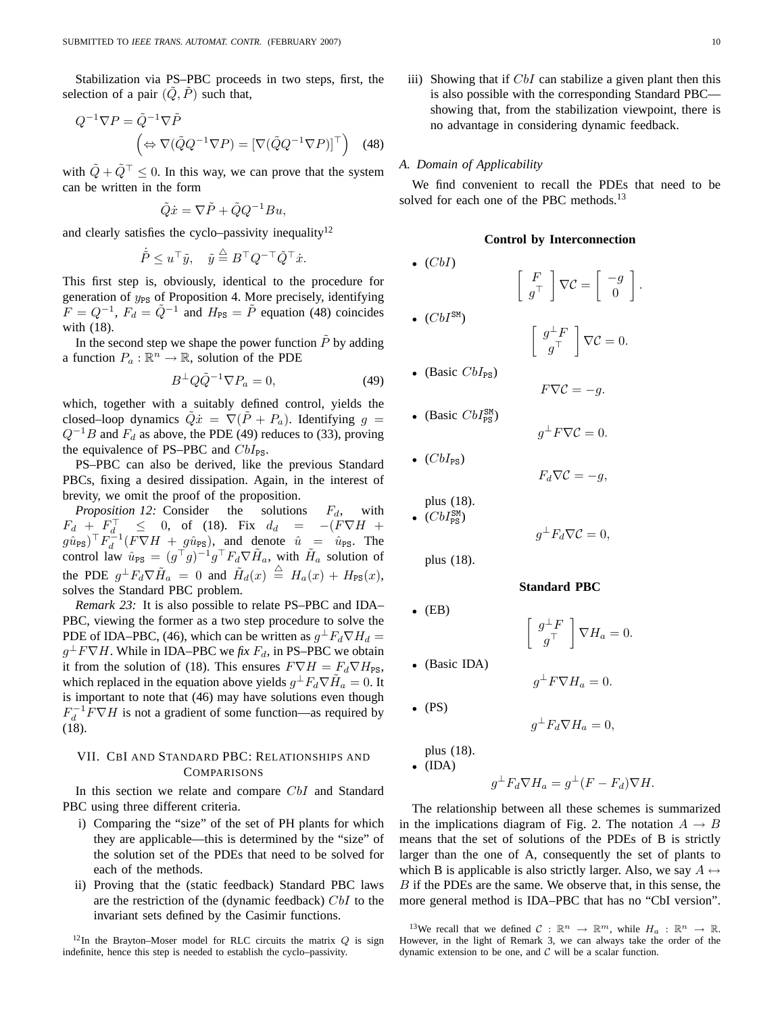Stabilization via PS–PBC proceeds in two steps, first, the selection of a pair  $(Q, P)$  such that,

$$
Q^{-1}\nabla P = \tilde{Q}^{-1}\nabla \tilde{P}
$$
  

$$
\left(\Leftrightarrow \nabla(\tilde{Q}Q^{-1}\nabla P) = [\nabla(\tilde{Q}Q^{-1}\nabla P)]^\top\right)
$$
 (48)

with  $\tilde{Q} + \tilde{Q}^\top \leq 0$ . In this way, we can prove that the system can be written in the form

$$
\tilde{Q}\dot{x} = \nabla \tilde{P} + \tilde{Q}Q^{-1}Bu,
$$

and clearly satisfies the cyclo–passivity inequality $12$ 

$$
\dot{\tilde{P}} \leq u^\top \tilde{y}, \quad \tilde{y} \stackrel{\triangle}{=} B^\top Q^{-\top} \tilde{Q}^\top \dot{x}.
$$

This first step is, obviously, identical to the procedure for generation of  $y_{PS}$  of Proposition 4. More precisely, identifying  $F = Q^{-1}$ ,  $F_d = \tilde{Q}^{-1}$  and  $H_{PS} = \tilde{P}$  equation (48) coincides with (18).

In the second step we shape the power function  $\tilde{P}$  by adding a function  $P_a : \mathbb{R}^n \to \mathbb{R}$ , solution of the PDE

$$
B^{\perp} Q \tilde{Q}^{-1} \nabla P_a = 0, \tag{49}
$$

which, together with a suitably defined control, yields the closed–loop dynamics  $\tilde{Q}\dot{x} = \nabla(\tilde{P} + P_a)$ . Identifying  $g =$  $Q^{-1}B$  and  $F_d$  as above, the PDE (49) reduces to (33), proving the equivalence of PS–PBC and  $CbI_{\rm PS}$ .

PS–PBC can also be derived, like the previous Standard PBCs, fixing a desired dissipation. Again, in the interest of brevity, we omit the proof of the proposition.

*Proposition 12:* Consider the solutions  $F_d$ , with  $F_d + F_d$ ,  $\leq$  0, of (18). Fix  $d_d = -(F\nabla H +$  $(g\hat{u}_{PS})^{\top}F_d^{-1}(F\nabla H + g\hat{u}_{PS})$ , and denote  $\hat{u} = \hat{u}_{PS}$ . The control law  $\hat{u}_{PS} = (g^{\top}g)^{-1}g^{\top}F_d\nabla\tilde{H}_a$ , with  $\tilde{H}_a$  solution of the PDE  $g^{\perp}F_d\nabla \tilde{H}_a = 0$  and  $\tilde{H}_d(x) \stackrel{\triangle}{=} H_a(x) + H_{PS}(x)$ , solves the Standard PBC problem.

*Remark 23:* It is also possible to relate PS–PBC and IDA– PBC, viewing the former as a two step procedure to solve the PDE of IDA–PBC, (46), which can be written as  $g^{\perp}F_d\nabla H_d =$  $g^{\perp} F \nabla H$ . While in IDA–PBC we *fix*  $F_d$ , in PS–PBC we obtain it from the solution of (18). This ensures  $F \nabla H = F_d \nabla H_{PS}$ , which replaced in the equation above yields  $g^{\perp}F_d\nabla \tilde{H}_a = 0$ . It is important to note that (46) may have solutions even though  $F_d^{-1} F \nabla H$  is not a gradient of some function—as required by (18).

## VII. CBI AND STANDARD PBC: RELATIONSHIPS AND **COMPARISONS**

In this section we relate and compare CbI and Standard PBC using three different criteria.

- i) Comparing the "size" of the set of PH plants for which they are applicable—this is determined by the "size" of the solution set of the PDEs that need to be solved for each of the methods.
- ii) Proving that the (static feedback) Standard PBC laws are the restriction of the (dynamic feedback) CbI to the invariant sets defined by the Casimir functions.

<sup>12</sup>In the Brayton–Moser model for RLC circuits the matrix  $\Omega$  is sign indefinite, hence this step is needed to establish the cyclo–passivity.

iii) Showing that if  $CbI$  can stabilize a given plant then this is also possible with the corresponding Standard PBC showing that, from the stabilization viewpoint, there is no advantage in considering dynamic feedback.

#### *A. Domain of Applicability*

We find convenient to recall the PDEs that need to be solved for each one of the PBC methods.<sup>13</sup>

## **Control by Interconnection**

 $\int g^{\perp}F$  $g^+$ 

 $F\nabla \mathcal{C}=-a.$ 

 $g^{\perp} F \nabla \mathcal{C} = 0.$ 

 $F_d \nabla \mathcal{C} = -g,$ 

 $g^{\perp}F_d\nabla\mathcal{C}=0,$ 

 $\bigg\vert \nabla H_a = 0.$ 

**Standard PBC**

 $\int g^{\perp}F$  $g^+$ 

 $\begin{bmatrix} -g \\ 0 \end{bmatrix}$ 

 $\theta$ ¸ .

 $\bigg\vert \nabla \mathcal{C} = 0.$ 

 $\lceil \quad F \rceil$  $g^+$ 

$$
\bullet \ (CbI)
$$

•  $(ChI^{\text{SM}})$ 

$$
U^{(0)}(t)
$$

• (Basic 
$$
CbI_{PS}
$$
)

• (Basic  $CbI_{PS}^{SM}$ )

$$
\bullet \ (CbI_{\text{PS}})
$$

plus (18).  $\bullet$  (CbI<sub>PS</sub>)

plus (18).

$$
\bullet \quad (EB)
$$

- 
- (Basic IDA)

 $\bullet$  (PS)

$$
g^{\perp}F_d\nabla H_a=0,
$$

plus (18). •  $(IDA)$ 

$$
g^{\perp}F_d \nabla H_a = g^{\perp}(F - F_d) \nabla H.
$$

 $g^{\perp} F \nabla H_a = 0.$ 

The relationship between all these schemes is summarized in the implications diagram of Fig. 2. The notation  $A \rightarrow B$ means that the set of solutions of the PDEs of B is strictly larger than the one of A, consequently the set of plants to which B is applicable is also strictly larger. Also, we say  $A \leftrightarrow$ B if the PDEs are the same. We observe that, in this sense, the more general method is IDA–PBC that has no "CbI version".

<sup>&</sup>lt;sup>13</sup>We recall that we defined  $C : \mathbb{R}^n \to \mathbb{R}^m$ , while  $H_a : \mathbb{R}^n \to \mathbb{R}$ . However, in the light of Remark 3, we can always take the order of the dynamic extension to be one, and  $C$  will be a scalar function.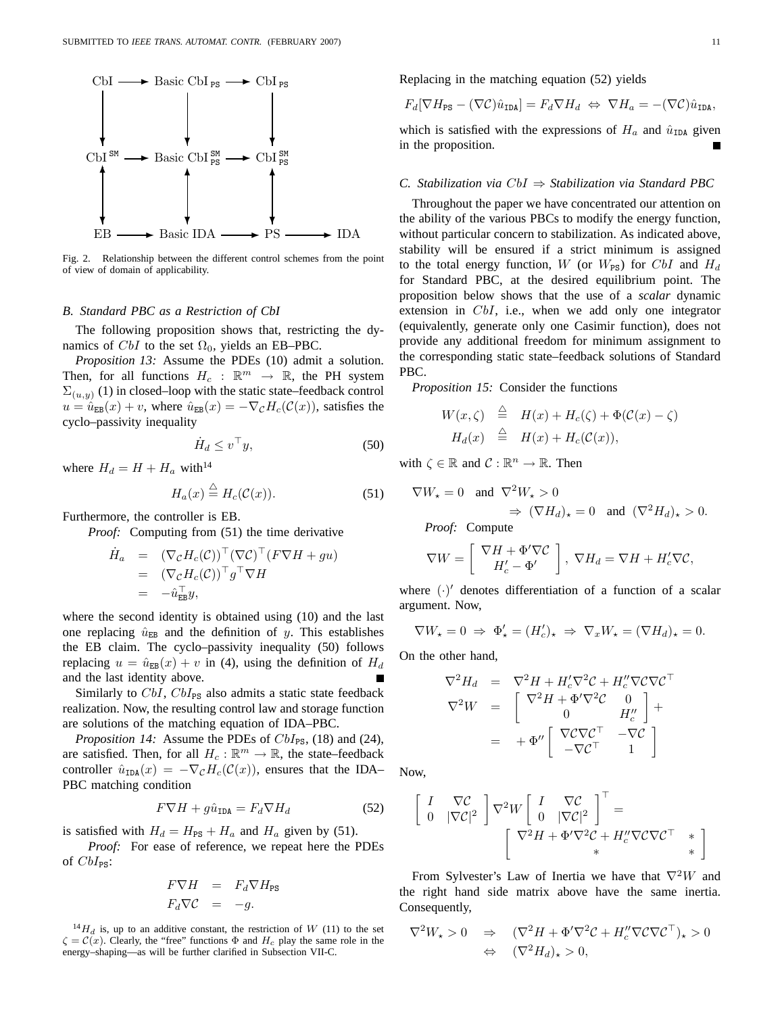

Fig. 2. Relationship between the different control schemes from the point of view of domain of applicability.

## *B. Standard PBC as a Restriction of CbI*

The following proposition shows that, restricting the dynamics of  $CbI$  to the set  $\Omega_0$ , yields an EB–PBC.

*Proposition 13:* Assume the PDEs (10) admit a solution. Then, for all functions  $H_c$  :  $\mathbb{R}^m \to \mathbb{R}$ , the PH system  $\Sigma_{(u,y)}$  (1) in closed–loop with the static state–feedback control  $u = \hat{u}_{EB}(x) + v$ , where  $\hat{u}_{EB}(x) = -\nabla_{\mathcal{C}} H_c(\mathcal{C}(x))$ , satisfies the cyclo–passivity inequality

$$
\dot{H}_d \le v^\top y,\tag{50}
$$

where  $H_d = H + H_a$  with<sup>14</sup>

$$
H_a(x) \stackrel{\triangle}{=} H_c(\mathcal{C}(x)).\tag{51}
$$

Furthermore, the controller is EB.

*Proof:* Computing from (51) the time derivative

$$
\dot{H}_a = (\nabla_{\mathcal{C}} H_c(\mathcal{C}))^\top (\nabla \mathcal{C})^\top (F \nabla H + gu) \n= (\nabla_{\mathcal{C}} H_c(\mathcal{C}))^\top g^\top \nabla H \n= -\hat{u}_{EB}^\top y,
$$

where the second identity is obtained using (10) and the last one replacing  $\hat{u}_{EB}$  and the definition of y. This establishes the EB claim. The cyclo–passivity inequality (50) follows replacing  $u = \hat{u}_{EB}(x) + v$  in (4), using the definition of  $H_d$ and the last identity above.

Similarly to  $CbI$ ,  $CbI_{PS}$  also admits a static state feedback realization. Now, the resulting control law and storage function are solutions of the matching equation of IDA–PBC.

*Proposition 14:* Assume the PDEs of  $CbI_{PS}$ , (18) and (24), are satisfied. Then, for all  $H_c : \mathbb{R}^m \to \mathbb{R}$ , the state–feedback controller  $\hat{u}_{\text{IDA}}(x) = -\nabla_{\mathcal{C}} H_c(\mathcal{C}(x))$ , ensures that the IDA– PBC matching condition

$$
F\nabla H + g\hat{u}_{\text{IDA}} = F_d \nabla H_d \tag{52}
$$

is satisfied with  $H_d = H_{PS} + H_a$  and  $H_a$  given by (51).

*Proof:* For ease of reference, we repeat here the PDEs of  $CbI_{\text{PS}}$ :

$$
F \nabla H = F_d \nabla H_{PS}
$$
  

$$
F_d \nabla C = -g.
$$

 $^{14}H_d$  is, up to an additive constant, the restriction of W (11) to the set  $\zeta = \mathcal{C}(x)$ . Clearly, the "free" functions  $\Phi$  and  $H_c$  play the same role in the energy–shaping—as will be further clarified in Subsection VII-C.

Replacing in the matching equation (52) yields

$$
F_d[\nabla H_{\text{PS}} - (\nabla \mathcal{C})\hat{u}_{\text{IDA}}] = F_d \nabla H_d \Leftrightarrow \nabla H_a = -(\nabla \mathcal{C})\hat{u}_{\text{IDA}},
$$

which is satisfied with the expressions of  $H_a$  and  $\hat{u}_{\text{IDA}}$  given in the proposition.

## *C. Stabilization via* CbI ⇒ *Stabilization via Standard PBC*

Throughout the paper we have concentrated our attention on the ability of the various PBCs to modify the energy function, without particular concern to stabilization. As indicated above, stability will be ensured if a strict minimum is assigned to the total energy function, W (or  $W_{PS}$ ) for CbI and  $H_d$ for Standard PBC, at the desired equilibrium point. The proposition below shows that the use of a *scalar* dynamic extension in CbI, i.e., when we add only one integrator (equivalently, generate only one Casimir function), does not provide any additional freedom for minimum assignment to the corresponding static state–feedback solutions of Standard PBC.

*Proposition 15:* Consider the functions

$$
W(x,\zeta) \stackrel{\triangle}{=} H(x) + H_c(\zeta) + \Phi(\mathcal{C}(x) - \zeta)
$$
  
\n
$$
H_d(x) \stackrel{\triangle}{=} H(x) + H_c(\mathcal{C}(x)),
$$

with  $\zeta \in \mathbb{R}$  and  $\mathcal{C} : \mathbb{R}^n \to \mathbb{R}$ . Then

$$
\nabla W_{\star} = 0 \text{ and } \nabla^2 W_{\star} > 0
$$
  
\n
$$
\Rightarrow (\nabla H_d)_{\star} = 0 \text{ and } (\nabla^2 H_d)_{\star} > 0.
$$

*Proof:* Compute

$$
\nabla W = \left[ \begin{array}{c} \nabla H + \Phi' \nabla \mathcal{C} \\ H'_c - \Phi' \end{array} \right], \ \nabla H_d = \nabla H + H'_c \nabla \mathcal{C},
$$

where  $(\cdot)'$  denotes differentiation of a function of a scalar argument. Now,

$$
\nabla W_{\star} = 0 \Rightarrow \Phi'_{\star} = (H'_{c})_{\star} \Rightarrow \nabla_x W_{\star} = (\nabla H_d)_{\star} = 0.
$$

On the other hand,

$$
\nabla^2 H_d = \nabla^2 H + H_c' \nabla^2 C + H_c'' \nabla C \nabla C^\top
$$
\n
$$
\nabla^2 W = \begin{bmatrix}\n\nabla^2 H + \Phi' \nabla^2 C & 0 \\
0 & H_c''\n\end{bmatrix} +
$$
\n
$$
= + \Phi'' \begin{bmatrix}\n\nabla C \nabla C^\top & -\nabla C \\
-\nabla C^\top & 1\n\end{bmatrix}
$$

Now,

$$
\begin{bmatrix} I & \nabla C \\ 0 & |\nabla C|^2 \end{bmatrix} \nabla^2 W \begin{bmatrix} I & \nabla C \\ 0 & |\nabla C|^2 \end{bmatrix}^\top = \begin{bmatrix} \nabla^2 H + \Phi' \nabla^2 C + H_c'' \nabla C \nabla C^\top & * \\ * & * \end{bmatrix}
$$

From Sylvester's Law of Inertia we have that  $\nabla^2 W$  and the right hand side matrix above have the same inertia. Consequently,

$$
\nabla^2 W_\star > 0 \quad \Rightarrow \quad (\nabla^2 H + \Phi' \nabla^2 C + H_c'' \nabla C \nabla C^\top)_\star > 0
$$
  

$$
\Leftrightarrow \quad (\nabla^2 H_d)_\star > 0,
$$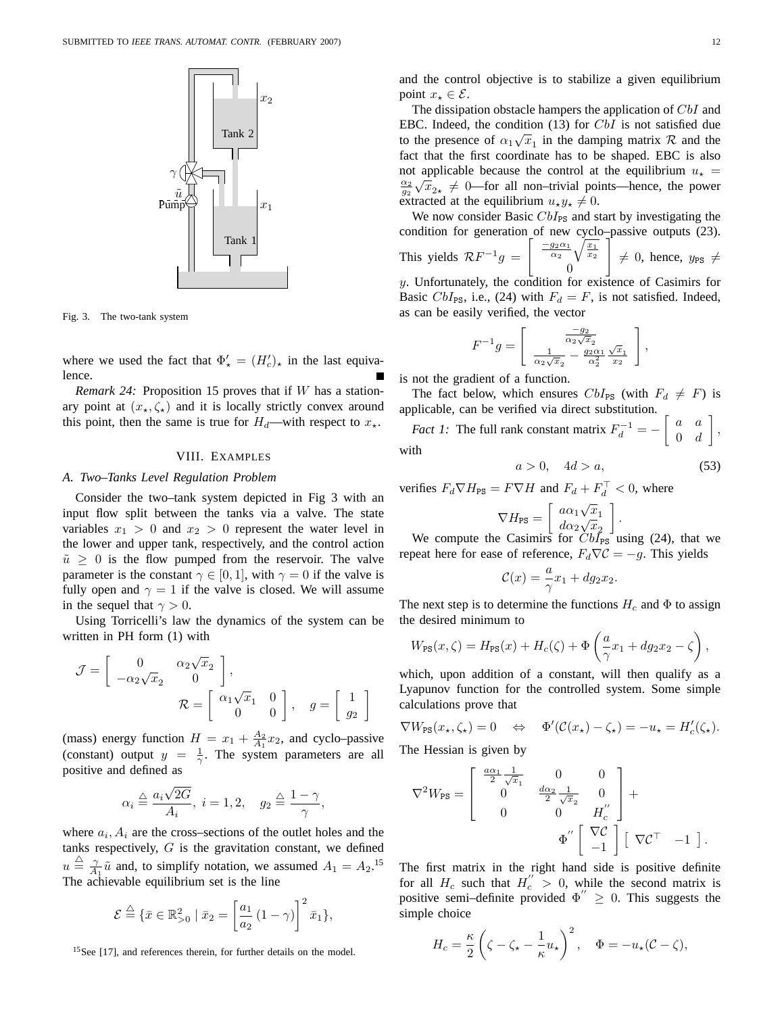

Fig. 3. The two-tank system

where we used the fact that  $\Phi'_{\star} = (H'_{c})_{\star}$  in the last equivalence.

*Remark 24:* Proposition 15 proves that if W has a stationary point at  $(x_*,\zeta_*)$  and it is locally strictly convex around this point, then the same is true for  $H_d$ —with respect to  $x_{\star}$ .

#### VIII. EXAMPLES

## *A. Two–Tanks Level Regulation Problem*

Consider the two–tank system depicted in Fig 3 with an input flow split between the tanks via a valve. The state variables  $x_1 > 0$  and  $x_2 > 0$  represent the water level in the lower and upper tank, respectively, and the control action  $\tilde{u} \geq 0$  is the flow pumped from the reservoir. The valve parameter is the constant  $\gamma \in [0, 1]$ , with  $\gamma = 0$  if the valve is fully open and  $\gamma = 1$  if the valve is closed. We will assume in the sequel that  $\gamma > 0$ .

Using Torricelli's law the dynamics of the system can be written in PH form (1) with

$$
\mathcal{J} = \begin{bmatrix} 0 & \alpha_2 \sqrt{x}_2 \\ -\alpha_2 \sqrt{x}_2 & 0 \end{bmatrix},
$$
  

$$
\mathcal{R} = \begin{bmatrix} \alpha_1 \sqrt{x}_1 & 0 \\ 0 & 0 \end{bmatrix}, \quad g = \begin{bmatrix} 1 \\ g_2 \end{bmatrix}
$$

(mass) energy function  $H = x_1 + \frac{A_2}{A_1}x_2$ , and cyclo-passive (constant) output  $y = \frac{1}{\gamma}$ . The system parameters are all positive and defined as

$$
\alpha_i \stackrel{\triangle}{=} \frac{a_i \sqrt{2G}}{A_i}, \ i = 1, 2, \quad g_2 \stackrel{\triangle}{=} \frac{1 - \gamma}{\gamma},
$$

where  $a_i$ ,  $A_i$  are the cross–sections of the outlet holes and the tanks respectively,  $G$  is the gravitation constant, we defined  $u \triangleq \frac{\gamma}{A_1} \tilde{u}$  and, to simplify notation, we assumed  $A_1 = A_2$ .<sup>15</sup> The achievable equilibrium set is the line

$$
\mathcal{E} \stackrel{\triangle}{=} \{ \bar{x} \in \mathbb{R}^2_{>0} \mid \bar{x}_2 = \left[ \frac{a_1}{a_2} \left( 1 - \gamma \right) \right]^2 \bar{x}_1 \},\
$$

<sup>15</sup>See [17], and references therein, for further details on the model.

and the control objective is to stabilize a given equilibrium point  $x_{\star} \in \mathcal{E}$ .

The dissipation obstacle hampers the application of CbI and EBC. Indeed, the condition  $(13)$  for  $CbI$  is not satisfied due to the presence of  $\alpha_1\sqrt{x_1}$  in the damping matrix  $\mathcal R$  and the fact that the first coordinate has to be shaped. EBC is also not applicable because the control at the equilibrium  $u<sub>\star</sub> =$  $\frac{\alpha_2}{g_2}\sqrt{\frac{1}{x}}_2$   $\neq$  0—for all non–trivial points—hence, the power extracted at the equilibrium  $u_{\star}y_{\star} \neq 0$ .

We now consider Basic  $CbI_{PS}$  and start by investigating the condition for generation of new cyclo–passive outputs (23). This yields  $\mathcal{R}F^{-1}g =$  $\left[\frac{-g_2\alpha_1}{\alpha_2}\sqrt{\frac{x_1}{x_2}}\right]$  $\theta$  $\mathbb{I}$  $\neq$  0, hence,  $y_{PS} \neq$ y. Unfortunately, the condition for existence of Casimirs for

Basic CbI<sub>PS</sub>, i.e., (24) with  $F_d = F$ , is not satisfied. Indeed, as can be easily verified, the vector

$$
F^{-1}g = \left[ \begin{array}{c} \frac{-g_2}{\alpha_2 \sqrt{x_2}} \\ \frac{1}{\alpha_2 \sqrt{x_2}} - \frac{g_2 \alpha_1}{\alpha_2^2} \frac{\sqrt{x_1}}{x_2} \end{array} \right],
$$

is not the gradient of a function.

The fact below, which ensures  $CbI_{PS}$  (with  $F_d \neq F$ ) is applicable, can be verified via direct substitution.

*Fact 1:* The full rank constant matrix  $F_d^{-1} = -\begin{bmatrix} a & a \\ 0 & d \end{bmatrix}$  $0 \quad d$ ¸ , with

$$
a > 0, \quad 4d > a,\tag{53}
$$

verifies  $F_d \nabla H_{\text{PS}} = F \nabla H$  and  $F_d + F_d^+ < 0$ , where

$$
\nabla H_{\text{PS}} = \left[ \begin{array}{c} a\alpha_1 \sqrt{x}_1 \\ d\alpha_2 \sqrt{x}_2 \\ \cos \alpha_1 \sqrt{x}_1 \end{array} \right].
$$

We compute the Casimirs for  $CbI_{PS}$  using (24), that we repeat here for ease of reference,  $F_d \nabla \mathcal{C} = -g$ . This yields

$$
\mathcal{C}(x) = \frac{a}{\gamma}x_1 + dg_2x_2.
$$

The next step is to determine the functions  $H_c$  and  $\Phi$  to assign the desired minimum to

$$
W_{\text{PS}}(x,\zeta) = H_{\text{PS}}(x) + H_c(\zeta) + \Phi\left(\frac{a}{\gamma}x_1 + dg_2x_2 - \zeta\right),
$$

which, upon addition of a constant, will then qualify as a Lyapunov function for the controlled system. Some simple calculations prove that

$$
\nabla W_{\text{PS}}(x_\star,\zeta_\star)=0 \quad \Leftrightarrow \quad \Phi'(\mathcal{C}(x_\star)-\zeta_\star)=-u_\star=H'_c(\zeta_\star).
$$

The Hessian is given by

$$
\nabla^2 W_{\text{PS}} = \begin{bmatrix} \frac{a\alpha_1}{2} \frac{1}{\sqrt{x_1}} & 0 & 0 \\ 0 & \frac{d\alpha_2}{2} \frac{1}{\sqrt{x_2}} & 0 \\ 0 & 0 & H_c'' \end{bmatrix} + \Phi'' \begin{bmatrix} \nabla \mathcal{C} \\ -1 \end{bmatrix} \begin{bmatrix} \nabla \mathcal{C}^\top & -1 \end{bmatrix}.
$$

The first matrix in the right hand side is positive definite for all  $H_c$  such that  $H_c^{\prime} > 0$ , while the second matrix is positive semi–definite provided  $\Phi'' \geq 0$ . This suggests the simple choice

$$
H_c = \frac{\kappa}{2} \left( \zeta - \zeta_\star - \frac{1}{\kappa} u_\star \right)^2, \quad \Phi = -u_\star (\mathcal{C} - \zeta),
$$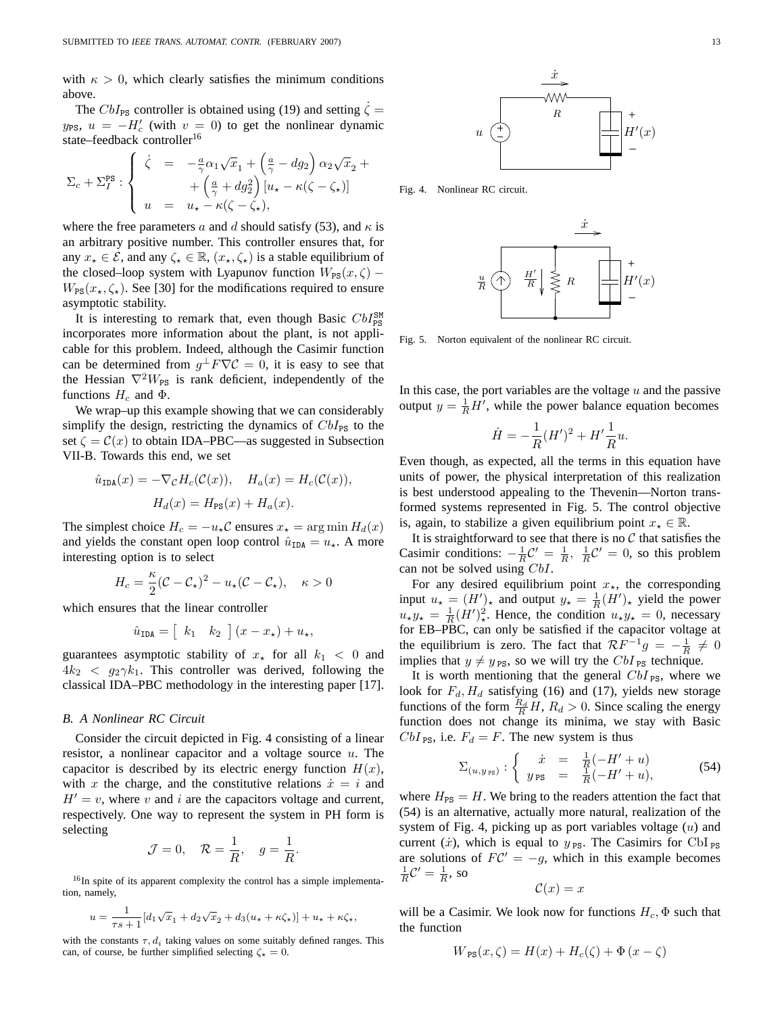with  $\kappa > 0$ , which clearly satisfies the minimum conditions above.

The  $CbI_{\text{PS}}$  controller is obtained using (19) and setting  $\zeta =$  $y_{PS}$ ,  $u = -H'_c$  (with  $v = 0$ ) to get the nonlinear dynamic state–feedback controller<sup>16</sup>

$$
\Sigma_c + \Sigma_I^{\text{PS}} : \begin{cases} \dot{\zeta} = -\frac{a}{\gamma} \alpha_1 \sqrt{x}_1 + \left(\frac{a}{\gamma} - dg_2\right) \alpha_2 \sqrt{x}_2 + \\ + \left(\frac{a}{\gamma} + dg_2^2\right) \left[u_\star - \kappa(\zeta - \zeta_\star)\right] \\ u = u_\star - \kappa(\zeta - \zeta_\star), \end{cases}
$$

where the free parameters a and d should satisfy (53), and  $\kappa$  is an arbitrary positive number. This controller ensures that, for any  $x_{\star} \in \mathcal{E}$ , and any  $\zeta_{\star} \in \mathbb{R}$ ,  $(x_{\star}, \zeta_{\star})$  is a stable equilibrium of the closed–loop system with Lyapunov function  $W_{PS}(x,\zeta)$  –  $W_{PS}(x_\star,\zeta_\star)$ . See [30] for the modifications required to ensure asymptotic stability.

It is interesting to remark that, even though Basic  $CbI_{\rm PS}^{\rm SM}$ incorporates more information about the plant, is not applicable for this problem. Indeed, although the Casimir function can be determined from  $g^{\perp} F \nabla C = 0$ , it is easy to see that the Hessian  $\nabla^2 W_{PS}$  is rank deficient, independently of the functions  $H_c$  and  $\Phi$ .

We wrap–up this example showing that we can considerably simplify the design, restricting the dynamics of  $CbI_{PS}$  to the set  $\zeta = \mathcal{C}(x)$  to obtain IDA–PBC—as suggested in Subsection VII-B. Towards this end, we set

$$
\hat{u}_{\text{IDA}}(x) = -\nabla_{\mathcal{C}} H_c(\mathcal{C}(x)), \quad H_a(x) = H_c(\mathcal{C}(x)),
$$

$$
H_d(x) = H_{\text{PS}}(x) + H_a(x).
$$

The simplest choice  $H_c = -u_{\star} \mathcal{C}$  ensures  $x_{\star} = \arg \min H_d(x)$ and yields the constant open loop control  $\hat{u}_{\text{IDA}} = u_{\star}$ . A more interesting option is to select

$$
H_c = \frac{\kappa}{2}(\mathcal{C} - \mathcal{C}_\star)^2 - u_\star(\mathcal{C} - \mathcal{C}_\star), \quad \kappa > 0
$$

which ensures that the linear controller

$$
\hat{u}_{\text{IDA}} = \left[ k_1 \quad k_2 \right] (x - x_\star) + u_\star,
$$

guarantees asymptotic stability of  $x<sub>+</sub>$  for all  $k<sub>1</sub> < 0$  and  $4k_2 < g_2 \gamma k_1$ . This controller was derived, following the classical IDA–PBC methodology in the interesting paper [17].

## *B. A Nonlinear RC Circuit*

Consider the circuit depicted in Fig. 4 consisting of a linear resistor, a nonlinear capacitor and a voltage source  $u$ . The capacitor is described by its electric energy function  $H(x)$ , with x the charge, and the constitutive relations  $\dot{x} = i$  and  $H' = v$ , where v and i are the capacitors voltage and current, respectively. One way to represent the system in PH form is selecting

$$
\mathcal{J}=0, \quad \mathcal{R}=\frac{1}{R}, \quad g=\frac{1}{R}.
$$

<sup>16</sup>In spite of its apparent complexity the control has a simple implementation, namely,

$$
u = \frac{1}{\tau s + 1} [d_1 \sqrt{x_1} + d_2 \sqrt{x_2} + d_3 (u_\star + \kappa \zeta_\star)] + u_\star + \kappa \zeta_\star,
$$

with the constants  $\tau$ ,  $d_i$  taking values on some suitably defined ranges. This can, of course, be further simplified selecting  $\zeta_{\star} = 0$ .



Fig. 4. Nonlinear RC circuit.



Fig. 5. Norton equivalent of the nonlinear RC circuit.

In this case, the port variables are the voltage  $u$  and the passive output  $y = \frac{1}{R}H'$ , while the power balance equation becomes

$$
\dot{H} = -\frac{1}{R}(H')^2 + H'\frac{1}{R}u.
$$

Even though, as expected, all the terms in this equation have units of power, the physical interpretation of this realization is best understood appealing to the Thevenin—Norton transformed systems represented in Fig. 5. The control objective is, again, to stabilize a given equilibrium point  $x<sub>+</sub> \in \mathbb{R}$ .

It is straightforward to see that there is no  $C$  that satisfies the Casimir conditions:  $-\frac{1}{R}C' = \frac{1}{R}$ ,  $\frac{1}{R}C' = 0$ , so this problem can not be solved using CbI.

For any desired equilibrium point  $x_{\star}$ , the corresponding input  $u_{\star} = (H')_{\star}$  and output  $y_{\star} = \frac{1}{R}(H')_{\star}$  yield the power  $u_{\star}y_{\star} = \frac{1}{R}(H')_{\star}^2$ . Hence, the condition  $u_{\star}y_{\star} = 0$ , necessary for EB–PBC, can only be satisfied if the capacitor voltage at the equilibrium is zero. The fact that  $\mathcal{R}F^{-1}g = -\frac{1}{R} \neq 0$ implies that  $y \neq y_{\text{PS}}$ , so we will try the CbI <sub>PS</sub> technique.

It is worth mentioning that the general  $CbI_{PS}$ , where we look for  $F_d$ ,  $H_d$  satisfying (16) and (17), yields new storage functions of the form  $\frac{R_d}{R}H$ ,  $R_d > 0$ . Since scaling the energy function does not change its minima, we stay with Basic  $CbI_{PS}$ , i.e.  $F_d = F$ . The new system is thus

$$
\Sigma_{(u,y_{\text{PS}})}: \begin{cases} \dot{x} = \frac{1}{R}(-H'+u) \\ y_{\text{PS}} = \frac{1}{R}(-H'+u), \end{cases}
$$
(54)

where  $H_{PS} = H$ . We bring to the readers attention the fact that (54) is an alternative, actually more natural, realization of the system of Fig. 4, picking up as port variables voltage  $(u)$  and current (*i*), which is equal to  $y_{PS}$ . The Casimirs for CbI <sub>PS</sub> are solutions of  $FC' = -g$ , which in this example becomes  $\frac{1}{R}C'=\frac{1}{R}$ , so

$$
\mathcal{C}(x) = x
$$

will be a Casimir. We look now for functions  $H_c$ ,  $\Phi$  such that the function

$$
W_{\text{PS}}(x,\zeta) = H(x) + H_c(\zeta) + \Phi(x - \zeta)
$$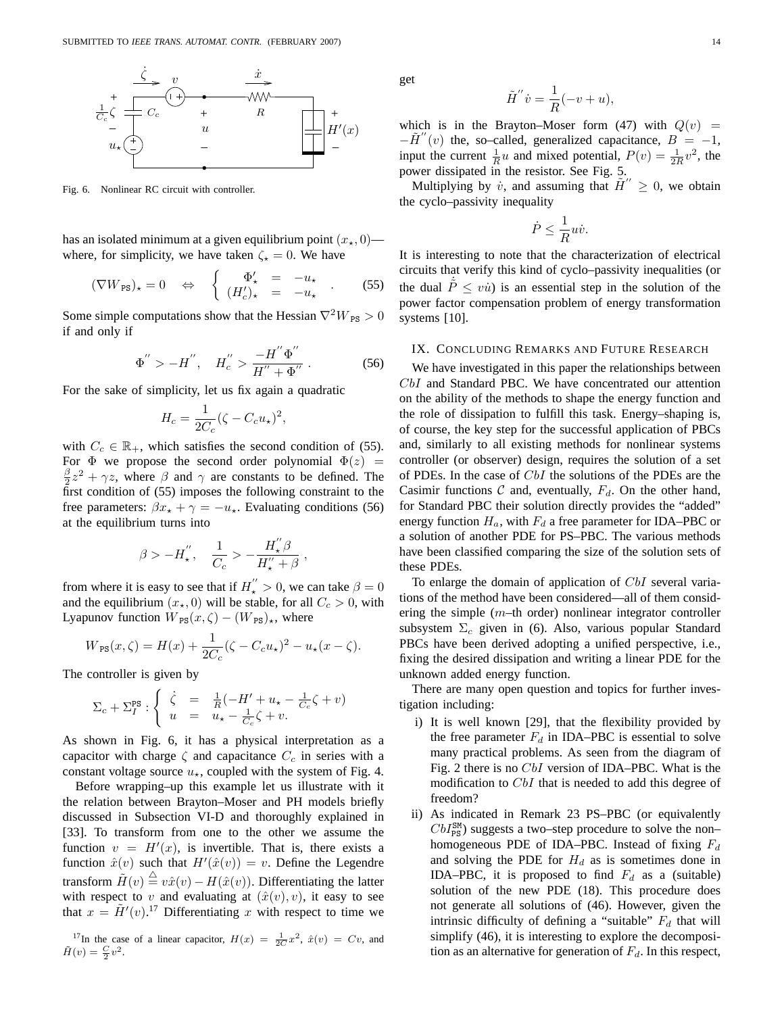

Fig. 6. Nonlinear RC circuit with controller.

has an isolated minimum at a given equilibrium point  $(x_*, 0)$  where, for simplicity, we have taken  $\zeta_{\star} = 0$ . We have

$$
(\nabla W_{\text{PS}})_\star = 0 \quad \Leftrightarrow \quad \left\{ \begin{array}{rcl} \Phi'_\star & = & -u_\star \\ (H'_c)_\star & = & -u_\star \end{array} \right. \tag{55}
$$

Some simple computations show that the Hessian  $\nabla^2 W_{PS} > 0$ if and only if

$$
\Phi^{''} > -H^{''}, \quad H_c^{''} > \frac{-H^{''} \Phi^{''}}{H'' + \Phi^{''}}.
$$
 (56)

For the sake of simplicity, let us fix again a quadratic

$$
H_c = \frac{1}{2C_c} (\zeta - C_c u_\star)^2,
$$

with  $C_c \in \mathbb{R}_+$ , which satisfies the second condition of (55). For  $\Phi$  we propose the second order polynomial  $\Phi(z)$  = β  $\frac{\beta}{2}z^2 + \gamma z$ , where  $\beta$  and  $\gamma$  are constants to be defined. The first condition of (55) imposes the following constraint to the free parameters:  $\beta x_{\star} + \gamma = -u_{\star}$ . Evaluating conditions (56) at the equilibrium turns into

$$
\beta > -H_\star^{''}, \quad \frac{1}{C_c} > -\frac{H_\star^{''}\beta}{H_\star^{''}+\beta}\;,
$$

from where it is easy to see that if  $H_*^{''} > 0$ , we can take  $\beta = 0$ and the equilibrium  $(x_*, 0)$  will be stable, for all  $C_c > 0$ , with Lyapunov function  $W_{PS}(x,\zeta) - (W_{PS})_{\star}$ , where

$$
W_{\rm PS}(x,\zeta) = H(x) + \frac{1}{2C_c} (\zeta - C_c u_\star)^2 - u_\star (x - \zeta).
$$

The controller is given by

$$
\Sigma_c + \Sigma_I^{\text{PS}} : \begin{cases} \n\dot{\zeta} &= \frac{1}{R}(-H' + u_\star - \frac{1}{C_c}\zeta + v) \\ \nu &= u_\star - \frac{1}{C_c}\zeta + v. \n\end{cases}
$$

As shown in Fig. 6, it has a physical interpretation as a capacitor with charge  $\zeta$  and capacitance  $C_c$  in series with a constant voltage source  $u_{\star}$ , coupled with the system of Fig. 4.

Before wrapping–up this example let us illustrate with it the relation between Brayton–Moser and PH models briefly discussed in Subsection VI-D and thoroughly explained in [33]. To transform from one to the other we assume the function  $v = H'(x)$ , is invertible. That is, there exists a function  $\hat{x}(v)$  such that  $H'(\hat{x}(v)) = v$ . Define the Legendre transform  $\tilde{H}(v) \stackrel{\triangle}{=} v\hat{x}(v) - H(\hat{x}(v))$ . Differentiating the latter with respect to v and evaluating at  $(\hat{x}(v), v)$ , it easy to see that  $x = \tilde{H}'(v)$ .<sup>17</sup> Differentiating x with respect to time we

<sup>17</sup>In the case of a linear capacitor,  $H(x) = \frac{1}{2C}x^2$ ,  $\hat{x}(v) = Cv$ , and  $\tilde{H}(v) = \frac{C}{2}v^2$ .

get

$$
\tilde{H}^{''}\dot{v} = \frac{1}{R}(-v+u),
$$

which is in the Brayton–Moser form (47) with  $Q(v)$  =  $-\tilde{H}''(v)$  the, so–called, generalized capacitance,  $B = -1$ , input the current  $\frac{1}{R}u$  and mixed potential,  $P(v) = \frac{1}{2R}v^2$ , the power dissipated in the resistor. See Fig. 5.

Multiplying by  $\dot{v}$ , and assuming that  $\tilde{H}'' \geq 0$ , we obtain the cyclo–passivity inequality

$$
\dot{P} \le \frac{1}{R}u\dot{v}.
$$

It is interesting to note that the characterization of electrical circuits that verify this kind of cyclo–passivity inequalities (or the dual  $\dot{\tilde{P}} \leq v\dot{u}$ ) is an essential step in the solution of the power factor compensation problem of energy transformation systems [10].

## IX. CONCLUDING REMARKS AND FUTURE RESEARCH

We have investigated in this paper the relationships between CbI and Standard PBC. We have concentrated our attention on the ability of the methods to shape the energy function and the role of dissipation to fulfill this task. Energy–shaping is, of course, the key step for the successful application of PBCs and, similarly to all existing methods for nonlinear systems controller (or observer) design, requires the solution of a set of PDEs. In the case of CbI the solutions of the PDEs are the Casimir functions  $C$  and, eventually,  $F_d$ . On the other hand, for Standard PBC their solution directly provides the "added" energy function  $H_a$ , with  $F_d$  a free parameter for IDA–PBC or a solution of another PDE for PS–PBC. The various methods have been classified comparing the size of the solution sets of these PDEs.

To enlarge the domain of application of CbI several variations of the method have been considered—all of them considering the simple  $(m$ –th order) nonlinear integrator controller subsystem  $\Sigma_c$  given in (6). Also, various popular Standard PBCs have been derived adopting a unified perspective, i.e., fixing the desired dissipation and writing a linear PDE for the unknown added energy function.

There are many open question and topics for further investigation including:

- i) It is well known [29], that the flexibility provided by the free parameter  $F_d$  in IDA–PBC is essential to solve many practical problems. As seen from the diagram of Fig. 2 there is no CbI version of IDA–PBC. What is the modification to CbI that is needed to add this degree of freedom?
- ii) As indicated in Remark 23 PS–PBC (or equivalently  $CbI_{\rm PS}^{\rm SM}$ ) suggests a two–step procedure to solve the non– homogeneous PDE of IDA–PBC. Instead of fixing  $F_d$ and solving the PDE for  $H_d$  as is sometimes done in IDA–PBC, it is proposed to find  $F_d$  as a (suitable) solution of the new PDE (18). This procedure does not generate all solutions of (46). However, given the intrinsic difficulty of defining a "suitable"  $F_d$  that will simplify (46), it is interesting to explore the decomposition as an alternative for generation of  $F<sub>d</sub>$ . In this respect,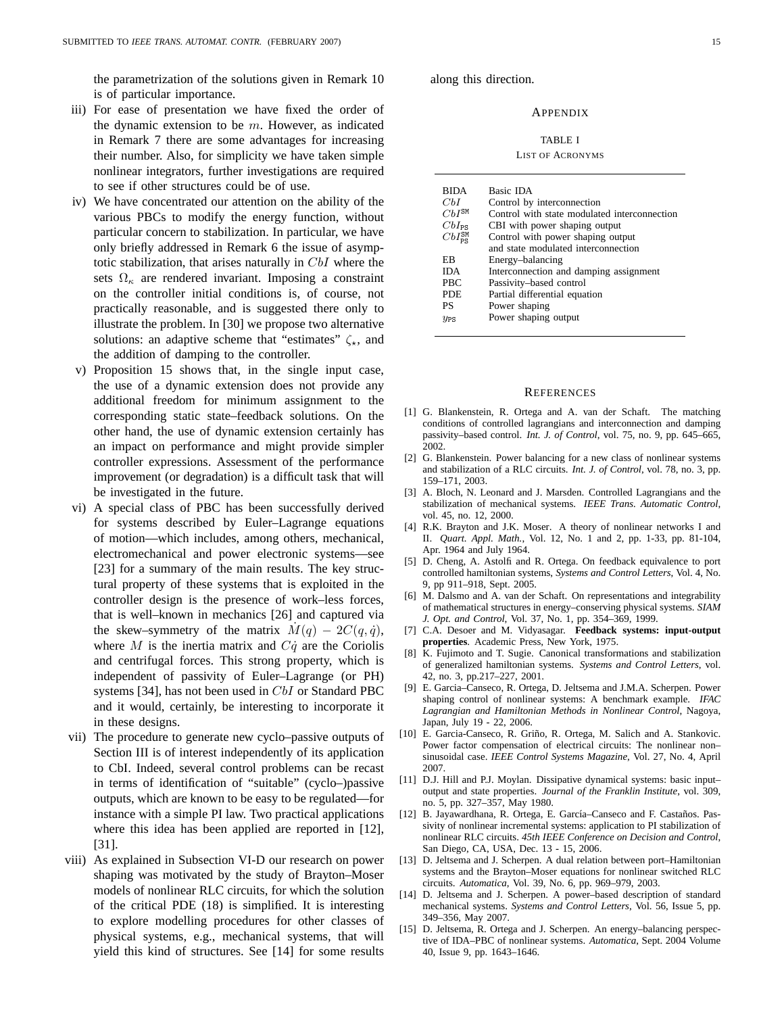the parametrization of the solutions given in Remark 10 is of particular importance.

- iii) For ease of presentation we have fixed the order of the dynamic extension to be  $m$ . However, as indicated in Remark 7 there are some advantages for increasing their number. Also, for simplicity we have taken simple nonlinear integrators, further investigations are required to see if other structures could be of use.
- iv) We have concentrated our attention on the ability of the various PBCs to modify the energy function, without particular concern to stabilization. In particular, we have only briefly addressed in Remark 6 the issue of asymptotic stabilization, that arises naturally in CbI where the sets  $\Omega_{\kappa}$  are rendered invariant. Imposing a constraint on the controller initial conditions is, of course, not practically reasonable, and is suggested there only to illustrate the problem. In [30] we propose two alternative solutions: an adaptive scheme that "estimates"  $\zeta_{\star}$ , and the addition of damping to the controller.
- v) Proposition 15 shows that, in the single input case, the use of a dynamic extension does not provide any additional freedom for minimum assignment to the corresponding static state–feedback solutions. On the other hand, the use of dynamic extension certainly has an impact on performance and might provide simpler controller expressions. Assessment of the performance improvement (or degradation) is a difficult task that will be investigated in the future.
- vi) A special class of PBC has been successfully derived for systems described by Euler–Lagrange equations of motion—which includes, among others, mechanical, electromechanical and power electronic systems—see [23] for a summary of the main results. The key structural property of these systems that is exploited in the controller design is the presence of work–less forces, that is well–known in mechanics [26] and captured via the skew–symmetry of the matrix  $M(q) - 2C(q, \dot{q})$ , where M is the inertia matrix and  $C\dot{q}$  are the Coriolis and centrifugal forces. This strong property, which is independent of passivity of Euler–Lagrange (or PH) systems [34], has not been used in CbI or Standard PBC and it would, certainly, be interesting to incorporate it in these designs.
- vii) The procedure to generate new cyclo–passive outputs of Section III is of interest independently of its application to CbI. Indeed, several control problems can be recast in terms of identification of "suitable" (cyclo–)passive outputs, which are known to be easy to be regulated—for instance with a simple PI law. Two practical applications where this idea has been applied are reported in [12], [31].
- viii) As explained in Subsection VI-D our research on power shaping was motivated by the study of Brayton–Moser models of nonlinear RLC circuits, for which the solution of the critical PDE (18) is simplified. It is interesting to explore modelling procedures for other classes of physical systems, e.g., mechanical systems, that will yield this kind of structures. See [14] for some results

along this direction.

## **APPENDIX**

#### TABLE I

## LIST OF ACRONYMS

| <b>BIDA</b>                   | Basic IDA                                    |
|-------------------------------|----------------------------------------------|
| CЫ                            | Control by interconnection                   |
| $ChI^{\text{SM}}$             | Control with state modulated interconnection |
| $CbI_{PS}$                    | CBI with power shaping output                |
| $CbI_{\text{pg}}^{\text{SM}}$ | Control with power shaping output            |
|                               | and state modulated interconnection          |
| ΕB                            | Energy-balancing                             |
| <b>IDA</b>                    | Interconnection and damping assignment       |
| <b>PBC</b>                    | Passivity-based control                      |
| <b>PDE</b>                    | Partial differential equation                |
| PS                            | Power shaping                                |
| $y_{PS}$                      | Power shaping output                         |

#### **REFERENCES**

- [1] G. Blankenstein, R. Ortega and A. van der Schaft. The matching conditions of controlled lagrangians and interconnection and damping passivity–based control. *Int. J. of Control*, vol. 75, no. 9, pp. 645–665, 2002.
- [2] G. Blankenstein. Power balancing for a new class of nonlinear systems and stabilization of a RLC circuits. *Int. J. of Control*, vol. 78, no. 3, pp. 159–171, 2003.
- [3] A. Bloch, N. Leonard and J. Marsden. Controlled Lagrangians and the stabilization of mechanical systems. *IEEE Trans. Automatic Control*, vol. 45, no. 12, 2000.
- [4] R.K. Brayton and J.K. Moser. A theory of nonlinear networks I and II. *Quart. Appl. Math.*, Vol. 12, No. 1 and 2, pp. 1-33, pp. 81-104, Apr. 1964 and July 1964.
- [5] D. Cheng, A. Astolfi and R. Ortega. On feedback equivalence to port controlled hamiltonian systems, *Systems and Control Letters*, Vol. 4, No. 9, pp 911–918, Sept. 2005.
- [6] M. Dalsmo and A. van der Schaft. On representations and integrability of mathematical structures in energy–conserving physical systems. *SIAM J. Opt. and Control*, Vol. 37, No. 1, pp. 354–369, 1999.
- [7] C.A. Desoer and M. Vidyasagar. **Feedback systems: input-output properties**. Academic Press, New York, 1975.
- [8] K. Fujimoto and T. Sugie. Canonical transformations and stabilization of generalized hamiltonian systems. *Systems and Control Letters*, vol. 42, no. 3, pp.217–227, 2001.
- [9] E. Garcia–Canseco, R. Ortega, D. Jeltsema and J.M.A. Scherpen. Power shaping control of nonlinear systems: A benchmark example. *IFAC Lagrangian and Hamiltonian Methods in Nonlinear Control*, Nagoya, Japan, July 19 - 22, 2006.
- [10] E. Garcia-Canseco, R. Griño, R. Ortega, M. Salich and A. Stankovic. Power factor compensation of electrical circuits: The nonlinear non– sinusoidal case. *IEEE Control Systems Magazine*, Vol. 27, No. 4, April 2007.
- [11] D.J. Hill and P.J. Moylan. Dissipative dynamical systems: basic inputoutput and state properties. *Journal of the Franklin Institute*, vol. 309, no. 5, pp. 327–357, May 1980.
- [12] B. Jayawardhana, R. Ortega, E. García–Canseco and F. Castaños. Passivity of nonlinear incremental systems: application to PI stabilization of nonlinear RLC circuits. *45th IEEE Conference on Decision and Control*, San Diego, CA, USA, Dec. 13 - 15, 2006.
- [13] D. Jeltsema and J. Scherpen. A dual relation between port–Hamiltonian systems and the Brayton–Moser equations for nonlinear switched RLC circuits. *Automatica*, Vol. 39, No. 6, pp. 969–979, 2003.
- [14] D. Jeltsema and J. Scherpen. A power–based description of standard mechanical systems. *Systems and Control Letters*, Vol. 56, Issue 5, pp. 349–356, May 2007.
- [15] D. Jeltsema, R. Ortega and J. Scherpen. An energy-balancing perspective of IDA–PBC of nonlinear systems. *Automatica*, Sept. 2004 Volume 40, Issue 9, pp. 1643–1646.